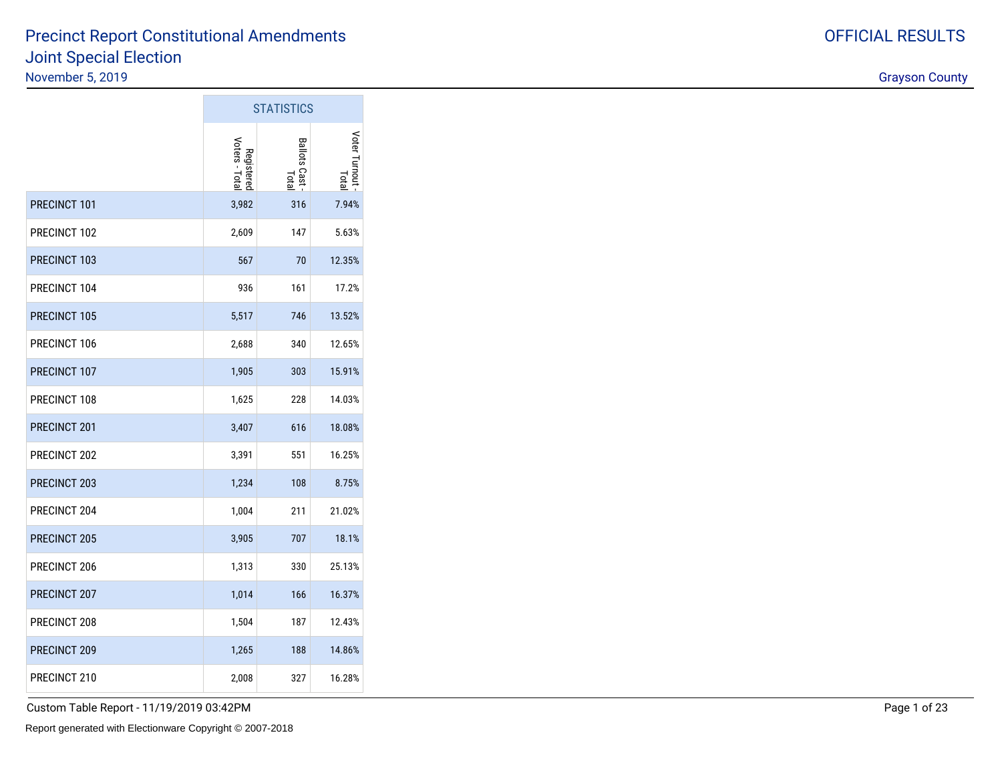$STATIOTIO$ 

|              |                              | <b>SIAIISIIUS</b>            |                        |
|--------------|------------------------------|------------------------------|------------------------|
|              | Voters - Total<br>Registered | <b>Ballots Cast</b><br>Total | Voter Turnout<br>Lotal |
| PRECINCT 101 | 3,982                        | 316                          | 7.94%                  |
| PRECINCT 102 | 2,609                        | 147                          | 5.63%                  |
| PRECINCT 103 | 567                          | 70                           | 12.35%                 |
| PRECINCT 104 | 936                          | 161                          | 17.2%                  |
| PRECINCT 105 | 5,517                        | 746                          | 13.52%                 |
| PRECINCT 106 | 2,688                        | 340                          | 12.65%                 |
| PRECINCT 107 | 1,905                        | 303                          | 15.91%                 |
| PRECINCT 108 | 1,625                        | 228                          | 14.03%                 |
| PRECINCT 201 | 3,407                        | 616                          | 18.08%                 |
| PRECINCT 202 | 3,391                        | 551                          | 16.25%                 |
| PRECINCT 203 | 1,234                        | 108                          | 8.75%                  |
| PRECINCT 204 | 1,004                        | 211                          | 21.02%                 |
| PRECINCT 205 | 3,905                        | 707                          | 18.1%                  |
| PRECINCT 206 | 1,313                        | 330                          | 25.13%                 |
| PRECINCT 207 | 1,014                        | 166                          | 16.37%                 |
| PRECINCT 208 | 1,504                        | 187                          | 12.43%                 |
| PRECINCT 209 | 1,265                        | 188                          | 14.86%                 |
| PRECINCT 210 | 2,008                        | 327                          | 16.28%                 |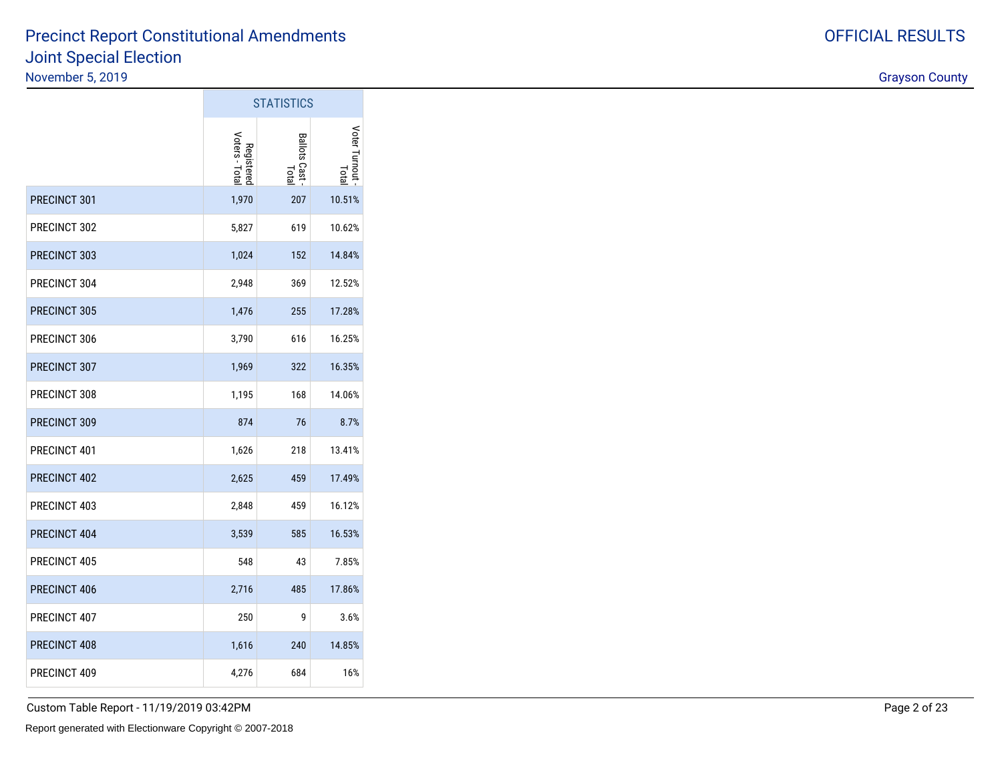|              | <b>STATISTICS</b>            |                         |                         |  |  |  |
|--------------|------------------------------|-------------------------|-------------------------|--|--|--|
|              | Voters - Total<br>Registered | Ballots Cast -<br>Total | Voter Turnout -<br>lota |  |  |  |
| PRECINCT 301 | 1,970                        | 207                     | 10.51%                  |  |  |  |
| PRECINCT 302 | 5,827                        | 619                     | 10.62%                  |  |  |  |
| PRECINCT 303 | 1,024                        | 152                     | 14.84%                  |  |  |  |
| PRECINCT 304 | 2,948                        | 369                     | 12.52%                  |  |  |  |
| PRECINCT 305 | 1,476                        | 255                     | 17.28%                  |  |  |  |
| PRECINCT 306 | 3,790                        | 616                     | 16.25%                  |  |  |  |
| PRECINCT 307 | 1,969                        | 322                     | 16.35%                  |  |  |  |
| PRECINCT 308 | 1,195                        | 168                     | 14.06%                  |  |  |  |
| PRECINCT 309 | 874                          | 76                      | 8.7%                    |  |  |  |
| PRECINCT 401 | 1,626                        | 218                     | 13.41%                  |  |  |  |
| PRECINCT 402 | 2,625                        | 459                     | 17.49%                  |  |  |  |
| PRECINCT 403 | 2,848                        | 459                     | 16.12%                  |  |  |  |
| PRECINCT 404 | 3,539                        | 585                     | 16.53%                  |  |  |  |
| PRECINCT 405 | 548                          | 43                      | 7.85%                   |  |  |  |
| PRECINCT 406 | 2,716                        | 485                     | 17.86%                  |  |  |  |
| PRECINCT 407 | 250                          | 9                       | 3.6%                    |  |  |  |
| PRECINCT 408 | 1,616                        | 240                     | 14.85%                  |  |  |  |
| PRECINCT 409 | 4,276                        | 684                     | 16%                     |  |  |  |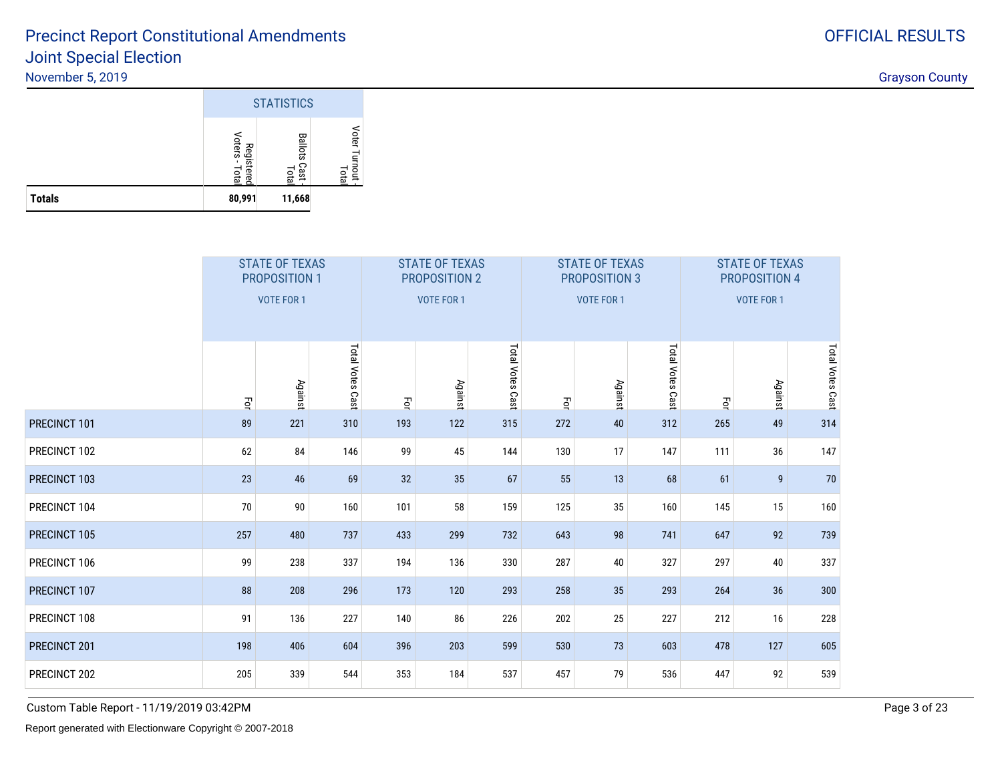

|              | <b>STATE OF TEXAS</b><br><b>PROPOSITION 1</b><br><b>VOTE FOR 1</b> |         |                  |       | <b>STATE OF TEXAS</b><br>PROPOSITION 2<br><b>VOTE FOR 1</b> |                  |     | <b>STATE OF TEXAS</b><br>PROPOSITION 3<br><b>VOTE FOR 1</b> |                  | <b>STATE OF TEXAS</b><br>PROPOSITION 4<br>VOTE FOR 1 |         |                  |  |
|--------------|--------------------------------------------------------------------|---------|------------------|-------|-------------------------------------------------------------|------------------|-----|-------------------------------------------------------------|------------------|------------------------------------------------------|---------|------------------|--|
|              | 马                                                                  | Against | Total Votes Cast | $\Xi$ | Against                                                     | Total Votes Cast | Ęor | <b>Against</b>                                              | Total Votes Cast | Ę                                                    | Against | Total Votes Cast |  |
| PRECINCT 101 | 89                                                                 | 221     | 310              | 193   | 122                                                         | 315              | 272 | 40                                                          | 312              | 265                                                  | 49      | 314              |  |
| PRECINCT 102 | 62                                                                 | 84      | 146              | 99    | 45                                                          | 144              | 130 | 17                                                          | 147              | 111                                                  | 36      | 147              |  |
| PRECINCT 103 | 23                                                                 | 46      | 69               | 32    | 35                                                          | 67               | 55  | 13                                                          | 68               | 61                                                   | 9       | 70               |  |
| PRECINCT 104 | 70                                                                 | 90      | 160              | 101   | 58                                                          | 159              | 125 | 35                                                          | 160              | 145                                                  | 15      | 160              |  |
| PRECINCT 105 | 257                                                                | 480     | 737              | 433   | 299                                                         | 732              | 643 | 98                                                          | 741              | 647                                                  | 92      | 739              |  |
| PRECINCT 106 | 99                                                                 | 238     | 337              | 194   | 136                                                         | 330              | 287 | 40                                                          | 327              | 297                                                  | 40      | 337              |  |
| PRECINCT 107 | 88                                                                 | 208     | 296              | 173   | 120                                                         | 293              | 258 | 35                                                          | 293              | 264                                                  | 36      | 300              |  |
| PRECINCT 108 | 91                                                                 | 136     | 227              | 140   | 86                                                          | 226              | 202 | 25                                                          | 227              | 212                                                  | 16      | 228              |  |
| PRECINCT 201 | 198                                                                | 406     | 604              | 396   | 203                                                         | 599              | 530 | 73                                                          | 603              | 478                                                  | 127     | 605              |  |
| PRECINCT 202 | 205                                                                | 339     | 544              | 353   | 184                                                         | 537              | 457 | 79                                                          | 536              | 447                                                  | 92      | 539              |  |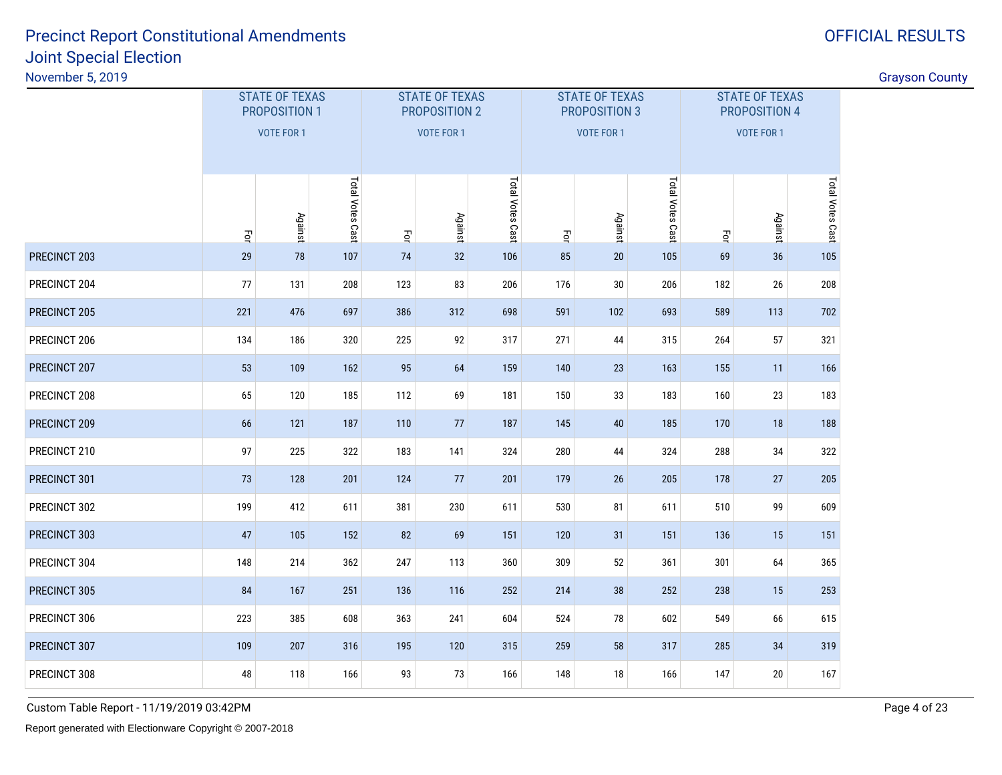# OFFICIAL RESULTS

| Vovember 5, 2019 |     |                                        |     |                   |                                        |                  |     |                                        |                  |     |                                        |                  |  |
|------------------|-----|----------------------------------------|-----|-------------------|----------------------------------------|------------------|-----|----------------------------------------|------------------|-----|----------------------------------------|------------------|--|
|                  |     | <b>STATE OF TEXAS</b><br>PROPOSITION 1 |     |                   | <b>STATE OF TEXAS</b><br>PROPOSITION 2 |                  |     | <b>STATE OF TEXAS</b><br>PROPOSITION 3 |                  |     | <b>STATE OF TEXAS</b><br>PROPOSITION 4 |                  |  |
|                  |     | VOTE FOR 1                             |     | <b>VOTE FOR 1</b> |                                        |                  |     | <b>VOTE FOR 1</b>                      |                  |     | <b>VOTE FOR 1</b>                      |                  |  |
|                  | Ęo  | Total Votes Cast<br>Against            |     |                   | <b>Against</b>                         | Total Votes Cast | Ξq  | Against                                | Total Votes Cast | Ę   | Against                                | Total Votes Cast |  |
| PRECINCT 203     | 29  | 78                                     | 107 | 74                | 32                                     | 106              | 85  | 20                                     | 105              | 69  | 36                                     | 105              |  |
| PRECINCT 204     | 77  | 131                                    | 208 | 123               | 83                                     | 206              | 176 | 30                                     | 206              | 182 | 26                                     | 208              |  |
| PRECINCT 205     | 221 | 476                                    | 697 | 386               | 312                                    | 698              | 591 | 102                                    | 693              | 589 | 113                                    | 702              |  |
| PRECINCT 206     | 134 | 186                                    | 320 | 225               | 92                                     | 317              | 271 | 44                                     | 315              | 264 | 57                                     | 321              |  |
| PRECINCT 207     | 53  | 109                                    | 162 | 95                | 64                                     | 159              | 140 | 23                                     | 163              | 155 | 11                                     | 166              |  |
| PRECINCT 208     | 65  | 120                                    | 185 | 112               | 69                                     | 181              | 150 | 33                                     | 183              | 160 | 23                                     | 183              |  |
| PRECINCT 209     | 66  | 121                                    | 187 | 110               | 77                                     | 187              | 145 | 40                                     | 185              | 170 | 18                                     | 188              |  |
| PRECINCT 210     | 97  | 225                                    | 322 | 183               | 141                                    | 324              | 280 | 44                                     | 324              | 288 | 34                                     | 322              |  |
| PRECINCT 301     | 73  | 128                                    | 201 | 124               | 77                                     | 201              | 179 | 26                                     | 205              | 178 | 27                                     | 205              |  |
| PRECINCT 302     | 199 | 412                                    | 611 | 381               | 230                                    | 611              | 530 | 81                                     | 611              | 510 | 99                                     | 609              |  |
| PRECINCT 303     | 47  | 105                                    | 152 | 82                | 69                                     | 151              | 120 | 31                                     | 151              | 136 | 15                                     | 151              |  |
| PRECINCT 304     | 148 | 214                                    | 362 | 247               | 113                                    | 360              | 309 | 52                                     | 361              | 301 | 64                                     | 365              |  |
| PRECINCT 305     | 84  | 167                                    | 251 | 136               | 116                                    | 252              | 214 | 38                                     | 252              | 238 | 15                                     | 253              |  |
| PRECINCT 306     | 223 | 385                                    | 608 | 363               | 241                                    | 604              | 524 | 78                                     | 602              | 549 | 66                                     | 615              |  |
| PRECINCT 307     | 109 | 207                                    | 316 | 195               | 120                                    | 315              | 259 | 58                                     | 317              | 285 | 34                                     | 319              |  |
| PRECINCT 308     | 48  | 118                                    | 166 | 93                | 73                                     | 166              | 148 | 18                                     | 166              | 147 | 20                                     | 167              |  |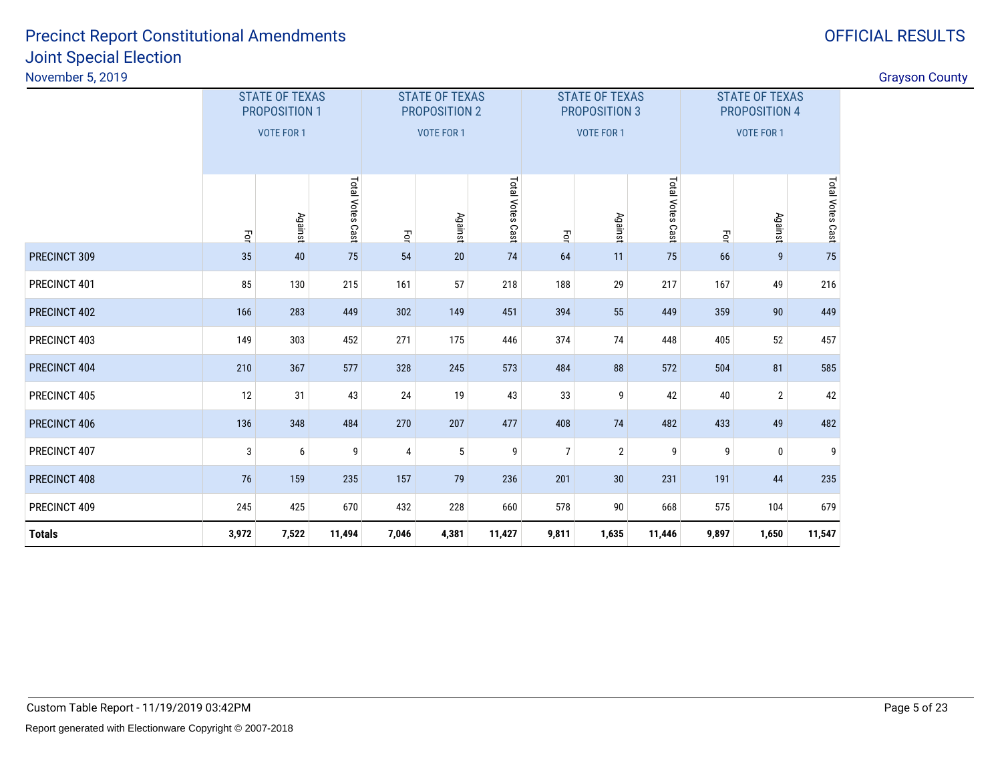| Vovember 5, 2019 |                         |                                        |                  |       |                                        |                  |                    |                                               |                  |                                               |                   |                  | <b>Grayson County</b> |
|------------------|-------------------------|----------------------------------------|------------------|-------|----------------------------------------|------------------|--------------------|-----------------------------------------------|------------------|-----------------------------------------------|-------------------|------------------|-----------------------|
|                  |                         | <b>STATE OF TEXAS</b><br>PROPOSITION 1 |                  |       | <b>STATE OF TEXAS</b><br>PROPOSITION 2 |                  |                    | <b>STATE OF TEXAS</b><br><b>PROPOSITION 3</b> |                  | <b>STATE OF TEXAS</b><br><b>PROPOSITION 4</b> |                   |                  |                       |
|                  |                         | VOTE FOR 1                             |                  |       | <b>VOTE FOR 1</b>                      |                  |                    | VOTE FOR 1                                    |                  |                                               | <b>VOTE FOR 1</b> |                  |                       |
|                  | $\overline{\mathsf{P}}$ | Against                                | Total Votes Cast | $\Xi$ | Against                                | Total Votes Cast | $\vec{\mathsf{P}}$ | <b>Against</b>                                | Total Votes Cast | $\overline{\mathsf{P}}$                       | Against           | Total Votes Cast |                       |
| PRECINCT 309     | 35                      | 40                                     | 75               | 54    | 20                                     | 74               | 64                 | 11                                            | 75               | 66                                            | 9                 | 75               |                       |
| PRECINCT 401     | 85                      | 130                                    | 215              | 161   | 57                                     | 218              | 188                | 29                                            | 217              | 167                                           | 49                | 216              |                       |
| PRECINCT 402     | 166                     | 283                                    | 449              | 302   | 149                                    | 451              | 394                | 55                                            | 449              | 359                                           | 90                | 449              |                       |
| PRECINCT 403     | 149                     | 303                                    | 452              | 271   | 175                                    | 446              | 374                | 74                                            | 448              | 405                                           | 52                | 457              |                       |
| PRECINCT 404     | 210                     | 367                                    | 577              | 328   | 245                                    | 573              | 484                | 88                                            | 572              | 504                                           | 81                | 585              |                       |
| PRECINCT 405     | 12                      | 31                                     | 43               | 24    | 19                                     | 43               | 33                 | 9                                             | 42               | 40                                            | $\overline{2}$    | 42               |                       |
| PRECINCT 406     | 136                     | 348                                    | 484              | 270   | 207                                    | 477              | 408                | 74                                            | 482              | 433                                           | 49                | 482              |                       |
| PRECINCT 407     | 3                       | 6                                      | 9                | 4     | 5                                      | 9                |                    | $\overline{2}$                                | 9                | 9                                             |                   | 9                |                       |
| PRECINCT 408     | 76                      | 159                                    | 235              | 157   | 79                                     | 236              | 201                | 30                                            | 231              | 191                                           | 44                | 235              |                       |
| PRECINCT 409     | 245                     | 425                                    | 670              | 432   | 228                                    | 660              | 578                | 90                                            | 668              | 575                                           | 104               | 679              |                       |
| Totals           | 3,972                   | 7,522                                  | 11,494           | 7,046 | 4,381                                  | 11,427           | 9,811              | 1,635                                         | 11,446           | 9,897                                         | 1,650             | 11,547           |                       |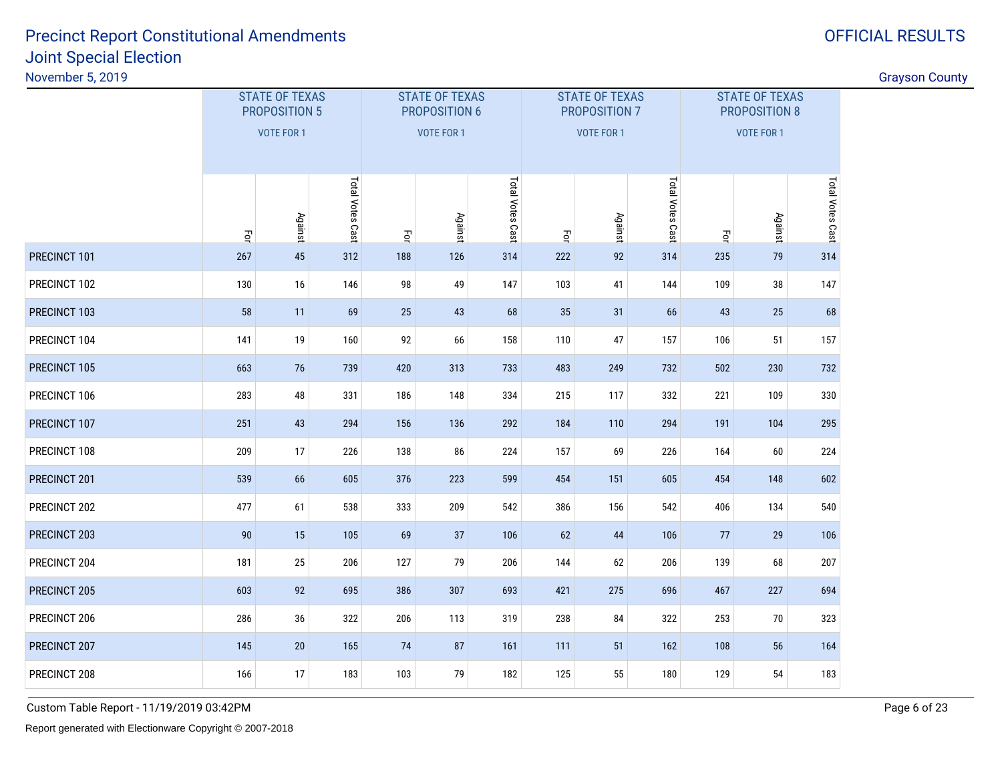# OFFICIAL RESULTS

gradient in the control of the control of the control of the control of the control of the control of the control of the control of the control of the control of the control of the control of the control of the control of

|              | <b>STATE OF TEXAS</b><br><b>PROPOSITION 5</b><br><b>VOTE FOR 1</b> |         |                  |     | <b>STATE OF TEXAS</b><br>PROPOSITION 6<br><b>VOTE FOR 1</b> |                  |     | <b>STATE OF TEXAS</b><br>PROPOSITION 7<br><b>VOTE FOR 1</b> |                  | <b>STATE OF TEXAS</b><br><b>PROPOSITION 8</b><br><b>VOTE FOR 1</b> |                |                  |  |
|--------------|--------------------------------------------------------------------|---------|------------------|-----|-------------------------------------------------------------|------------------|-----|-------------------------------------------------------------|------------------|--------------------------------------------------------------------|----------------|------------------|--|
|              | $\vec{\mathsf{S}}$                                                 | Against | Total Votes Cast | Ξq  | Against                                                     | Total Votes Cast | Ę   | Against                                                     | Total Votes Cast | Ę                                                                  | <b>Against</b> | Total Votes Cast |  |
| PRECINCT 101 | 267                                                                | 45      | 312              | 188 | 126                                                         | 314              | 222 | 92                                                          | 314              | 235                                                                | 79             | 314              |  |
| PRECINCT 102 | 130                                                                | 16      | 146              | 98  | 49                                                          | 147              | 103 | 41                                                          | 144              | 109                                                                | 38             | 147              |  |
| PRECINCT 103 | 58                                                                 | 11      | 69               | 25  | 43                                                          | 68               | 35  | 31                                                          | 66               | 43                                                                 | 25             | 68               |  |
| PRECINCT 104 | 141                                                                | 19      | 160              | 92  | 66                                                          | 158              | 110 | 47                                                          | 157              | 106                                                                | 51             | 157              |  |
| PRECINCT 105 | 663                                                                | 76      | 739              | 420 | 313                                                         | 733              | 483 | 249                                                         | 732              | 502                                                                | 230            | 732              |  |
| PRECINCT 106 | 283                                                                | 48      | 331              | 186 | 148                                                         | 334              | 215 | 117                                                         | 332              | 221                                                                | 109            | 330              |  |
| PRECINCT 107 | 251                                                                | 43      | 294              | 156 | 136                                                         | 292              | 184 | 110                                                         | 294              | 191                                                                | 104            | 295              |  |
| PRECINCT 108 | 209                                                                | 17      | 226              | 138 | 86                                                          | 224              | 157 | 69                                                          | 226              | 164                                                                | 60             | 224              |  |
| PRECINCT 201 | 539                                                                | 66      | 605              | 376 | 223                                                         | 599              | 454 | 151                                                         | 605              | 454                                                                | 148            | 602              |  |
| PRECINCT 202 | 477                                                                | 61      | 538              | 333 | 209                                                         | 542              | 386 | 156                                                         | 542              | 406                                                                | 134            | 540              |  |
| PRECINCT 203 | 90                                                                 | 15      | 105              | 69  | 37                                                          | 106              | 62  | 44                                                          | 106              | 77                                                                 | 29             | 106              |  |
| PRECINCT 204 | 181                                                                | 25      | 206              | 127 | 79                                                          | 206              | 144 | 62                                                          | 206              | 139                                                                | 68             | 207              |  |
| PRECINCT 205 | 603                                                                | 92      | 695              | 386 | 307                                                         | 693              | 421 | 275                                                         | 696              | 467                                                                | 227            | 694              |  |
| PRECINCT 206 | 286                                                                | 36      | 322              | 206 | 113                                                         | 319              | 238 | 84                                                          | 322              | 253                                                                | 70             | 323              |  |
| PRECINCT 207 | 145                                                                | 20      | 165              | 74  | 87                                                          | 161              | 111 | 51                                                          | 162              | 108                                                                | 56             | 164              |  |
| PRECINCT 208 | 166                                                                | 17      | 183              | 103 | 79                                                          | 182              | 125 | 55                                                          | 180              | 129                                                                | 54             | 183              |  |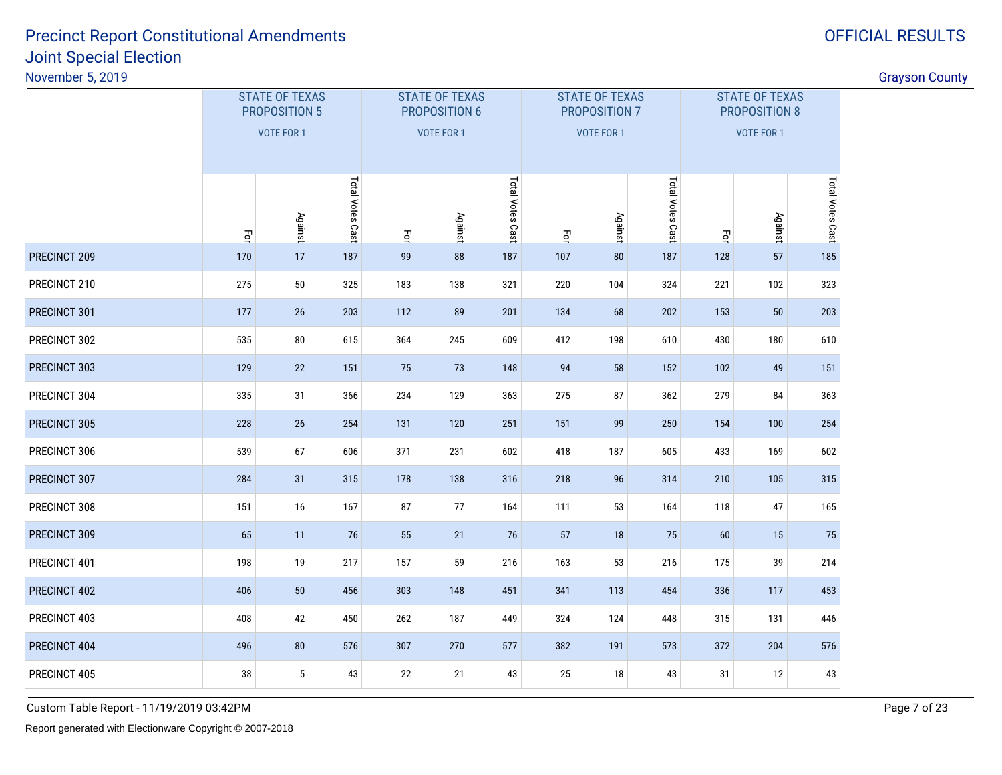# OFFICIAL RESULTS

gradient in the control of the control of the control of the control of the control of the control of the control of the control of the control of the control of the control of the control of the control of the control of

|              | <b>STATE OF TEXAS</b><br><b>PROPOSITION 5</b><br><b>VOTE FOR 1</b> |                 |                  |           | <b>STATE OF TEXAS</b><br>PROPOSITION 6<br><b>VOTE FOR 1</b> |                  |           | <b>STATE OF TEXAS</b><br>PROPOSITION 7<br>VOTE FOR 1 |                  | <b>STATE OF TEXAS</b><br>PROPOSITION 8<br>VOTE FOR 1 |         |                  |  |
|--------------|--------------------------------------------------------------------|-----------------|------------------|-----------|-------------------------------------------------------------|------------------|-----------|------------------------------------------------------|------------------|------------------------------------------------------|---------|------------------|--|
|              | $\vec{\mathsf{P}}$                                                 | <b>Against</b>  | Total Votes Cast | $\vec{q}$ | <b>Against</b>                                              | Total Votes Cast | $\vec{q}$ | <b>Against</b>                                       | Total Votes Cast | $\vec{S}$                                            | Against | Total Votes Cast |  |
| PRECINCT 209 | 170                                                                | 17              | 187              | 99        | 88                                                          | 187              | 107       | ${\bf 80}$                                           | 187              | 128                                                  | 57      | 185              |  |
| PRECINCT 210 | 275                                                                | 50              | 325              | 183       | 138                                                         | 321              | 220       | 104                                                  | 324              | 221                                                  | 102     | 323              |  |
| PRECINCT 301 | 177                                                                | 26              | 203              | 112       | 89                                                          | 201              | 134       | 68                                                   | 202              | 153                                                  | 50      | 203              |  |
| PRECINCT 302 | 535<br>80<br>615                                                   |                 |                  | 364       | 245                                                         | 609              | 412       | 198                                                  | 610              | 430                                                  | 180     | 610              |  |
| PRECINCT 303 | 129                                                                | 22              | 151              | 75        | 73                                                          | 148              | 94        | 58                                                   | 152              | 102                                                  | 49      | 151              |  |
| PRECINCT 304 | 335                                                                | 31              | 366              | 234       | 129                                                         | 363              | 275       | 87                                                   | 362              | 279                                                  | 84      | 363              |  |
| PRECINCT 305 | 228                                                                | 26              | 254              | 131       | 120                                                         | 251              | 151       | 99                                                   | 250              | 154                                                  | 100     | 254              |  |
| PRECINCT 306 | 539                                                                | 67              | 606              | 371       | 231                                                         | 602              | 418       | 187                                                  | 605              | 433                                                  | 169     | 602              |  |
| PRECINCT 307 | 284                                                                | 31              | 315              | 178       | 138                                                         | 316              | 218       | 96                                                   | 314              | 210                                                  | 105     | 315              |  |
| PRECINCT 308 | 151                                                                | 16              | 167              | 87        | 77                                                          | 164              | 111       | 53                                                   | 164              | 118                                                  | 47      | 165              |  |
| PRECINCT 309 | 65                                                                 | 11              | 76               | 55        | 21                                                          | 76               | 57        | 18                                                   | 75               | 60                                                   | 15      | 75               |  |
| PRECINCT 401 | 198                                                                | 19              | 217              | 157       | 59                                                          | 216              | 163       | 53                                                   | 216              | 175                                                  | 39      | 214              |  |
| PRECINCT 402 | 406                                                                | 50              | 456              | 303       | 148                                                         | 451              | 341       | 113                                                  | 454              | 336                                                  | 117     | 453              |  |
| PRECINCT 403 | 408                                                                | 42              | 450              | 262       | 187                                                         | 449              | 324       | 124                                                  | 448              | 315                                                  | 131     | 446              |  |
| PRECINCT 404 | 496                                                                | 80              | 576              | 307       | 270                                                         | 577              | 382       | 191                                                  | 573              | 372                                                  | 204     | 576              |  |
| PRECINCT 405 | 38                                                                 | $5\phantom{.0}$ | 43               | 22        | 21                                                          | 43               | 25        | 18                                                   | 43               | 31                                                   | 12      | 43               |  |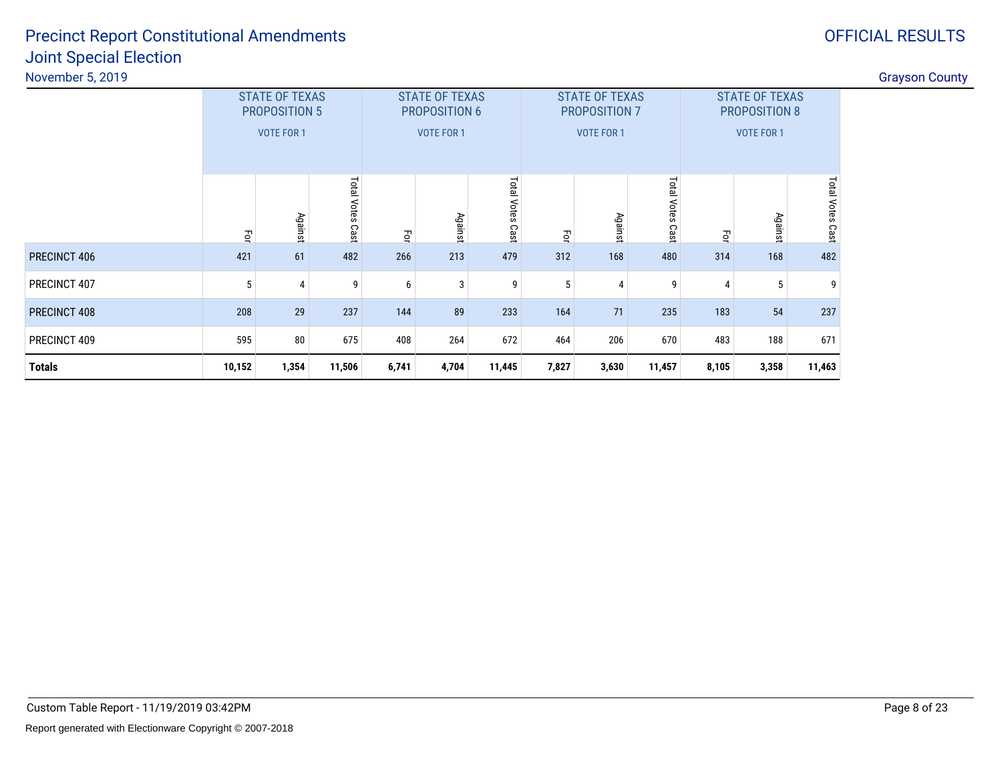# OFFICIAL RESULTS

|               |        | <b>STATE OF TEXAS</b><br><b>PROPOSITION 5</b><br><b>VOTE FOR 1</b> |                  |       | <b>STATE OF TEXAS</b><br><b>PROPOSITION 6</b><br><b>VOTE FOR 1</b> |                  |       | <b>STATE OF TEXAS</b><br>PROPOSITION 7<br><b>VOTE FOR 1</b> |                     | <b>STATE OF TEXAS</b><br><b>PROPOSITION 8</b><br>VOTE FOR 1 |         |                            |  |
|---------------|--------|--------------------------------------------------------------------|------------------|-------|--------------------------------------------------------------------|------------------|-------|-------------------------------------------------------------|---------------------|-------------------------------------------------------------|---------|----------------------------|--|
|               | Ξq     | Against                                                            | Total Votes Cast | 굏     | Against                                                            | Total Votes Cast | Ξq    | Against                                                     | Total Votes<br>Cast | Ξq                                                          | Against | <b>Total Votes</b><br>Cast |  |
| PRECINCT 406  | 421    | 61                                                                 | 482              | 266   | 213                                                                | 479              | 312   | 168                                                         | 480                 | 314                                                         | 168     | 482                        |  |
| PRECINCT 407  | 5      | 4                                                                  | 9                | 6     | 3                                                                  | 9                | 5     | 4                                                           | 9                   | 4                                                           | 5       | 9                          |  |
| PRECINCT 408  | 208    | 29                                                                 | 237              | 144   | 89                                                                 | 233              | 164   | 71                                                          | 235                 | 183                                                         | 54      | 237                        |  |
| PRECINCT 409  | 595    | 80<br>675                                                          |                  | 408   | 264                                                                | 672              | 464   | 206                                                         | 670                 | 483                                                         | 188     | 671                        |  |
| <b>Totals</b> | 10,152 | 1,354                                                              | 11,506           | 6,741 | 4,704                                                              | 11,445           | 7,827 | 3,630                                                       | 11,457              | 8,105                                                       | 3,358   | 11,463                     |  |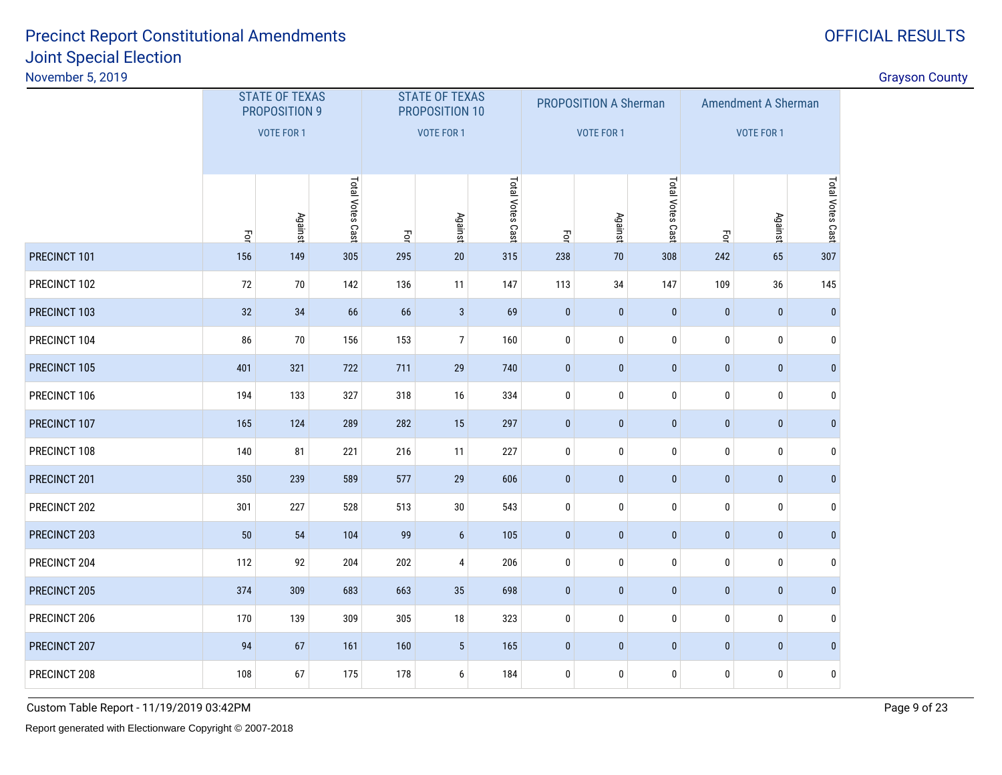|              |                   | <b>STATE OF TEXAS</b><br>PROPOSITION 9 |                  |           | <b>STATE OF TEXAS</b><br>PROPOSITION 10 |                  |              | PROPOSITION A Sherman |                  | <b>Amendment A Sherman</b> |                   |                  |  |
|--------------|-------------------|----------------------------------------|------------------|-----------|-----------------------------------------|------------------|--------------|-----------------------|------------------|----------------------------|-------------------|------------------|--|
|              | <b>VOTE FOR 1</b> |                                        |                  |           | <b>VOTE FOR 1</b>                       |                  |              | <b>VOTE FOR 1</b>     |                  |                            | <b>VOTE FOR 1</b> |                  |  |
|              | $\vec{q}$         | <b>Against</b>                         | Total Votes Cast | $\vec{q}$ | <b>Against</b>                          | Total Votes Cast | $\vec{q}$    | <b>Against</b>        | Total Votes Cast | $\vec{S}$                  | <b>Against</b>    | Total Votes Cast |  |
| PRECINCT 101 | 156               | 149                                    | 305              | 295       | 20                                      | 315              | 238          | 70                    | 308              | 242                        | 65                | 307              |  |
| PRECINCT 102 | 72                | $70\,$                                 | 142              | 136       | 11                                      | 147              | 113          | 34                    | 147              | 109                        | 36                | 145              |  |
| PRECINCT 103 | 32                | 34                                     | 66               | 66        | $\mathbf{3}$                            | 69               | $\bf{0}$     | $\bf{0}$              | $\bf{0}$         | $\pmb{0}$                  | $\pmb{0}$         | $\bf{0}$         |  |
| PRECINCT 104 | 86                | $70\,$                                 | 156              | 153       | $\overline{7}$                          | 160              | $\pmb{0}$    | $\pmb{0}$             | $\pmb{0}$        | 0                          | $\mathbf 0$       | $\mathbf 0$      |  |
| PRECINCT 105 | 401               | 321                                    | 722              | 711       | 29                                      | 740              | $\bf{0}$     | $\bf{0}$              | $\bf{0}$         | $\pmb{0}$                  | $\pmb{0}$         | $\mathbf{0}$     |  |
| PRECINCT 106 | 194               | 133                                    | 327              | 318       | 16                                      | 334              | $\bf{0}$     | $\pmb{0}$             | $\pmb{0}$        | 0                          | $\mathbf 0$       | 0                |  |
| PRECINCT 107 | 165               | 124                                    | 289              | 282       | 15                                      | 297              | $\pmb{0}$    | $\mathbf{0}$          | $\pmb{0}$        | $\pmb{0}$                  | $\pmb{0}$         | $\mathbf{0}$     |  |
| PRECINCT 108 | 140               | 81                                     | 221              | 216       | 11                                      | 227              | $\mathbf 0$  | $\bf{0}$              | $\bf{0}$         | 0                          | $\mathbf 0$       | $\mathbf 0$      |  |
| PRECINCT 201 | 350               | 239                                    | 589              | 577       | 29                                      | 606              | $\mathbf{0}$ | $\pmb{0}$             | $\pmb{0}$        | $\pmb{0}$                  | $\pmb{0}$         | $\mathbf{0}$     |  |
| PRECINCT 202 | 301               | 227                                    | 528              | 513       | $30\,$                                  | 543              | $\bf{0}$     | $\pmb{0}$             | $\pmb{0}$        | 0                          | $\pmb{0}$         | 0                |  |
| PRECINCT 203 | 50                | 54                                     | 104              | 99        | $6\phantom{a}$                          | 105              | $\mathbf{0}$ | $\mathbf{0}$          | $\pmb{0}$        | $\pmb{0}$                  | $\pmb{0}$         | $\mathbf{0}$     |  |
| PRECINCT 204 | 112               | 92                                     | 204              | 202       | $\overline{4}$                          | 206              | $\bf{0}$     | $\bf{0}$              | $\bf{0}$         | 0                          | $\pmb{0}$         | 0                |  |
| PRECINCT 205 | 374               | 309                                    | 683              | 663       | 35                                      | 698              | $\pmb{0}$    | $\mathbf{0}$          | $\mathbf{0}$     | $\bf{0}$                   | $\bf{0}$          | $\mathbf{0}$     |  |
| PRECINCT 206 | 170               | 139                                    | 309              | 305       | $18\,$                                  | 323              | $\pmb{0}$    | $\bf{0}$              | $\bf{0}$         | 0                          | $\pmb{0}$         | $\mathbf 0$      |  |
| PRECINCT 207 | 94                | 67                                     | 161              | 160       | 5 <sup>5</sup>                          | 165              | $\pmb{0}$    | $\mathbf{0}$          | $\mathbf{0}$     | $\bf{0}$                   | $\bf{0}$          | $\mathbf{0}$     |  |
| PRECINCT 208 | 108               | 67                                     | 175              | 178       | 6                                       | 184              | $\mathbf 0$  | $\pmb{0}$             | $\pmb{0}$        | $\bf{0}$                   | $\pmb{0}$         | 0                |  |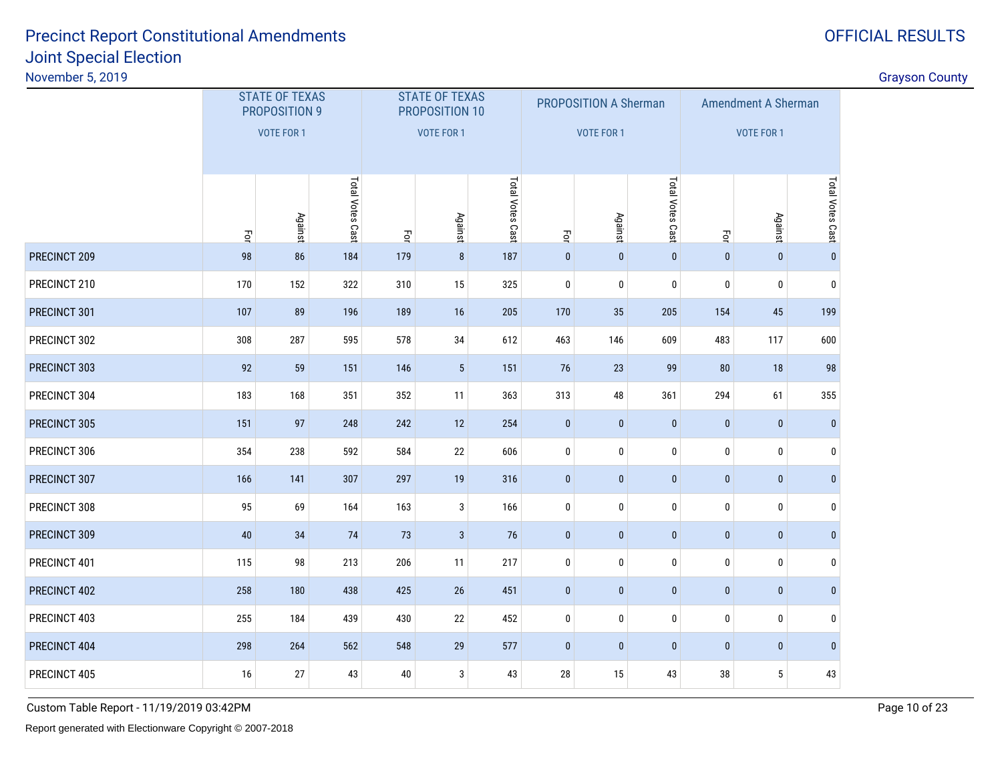OFFICIAL RESULTS

| November 5, 2019 |     |                                        |                  |     |                                         |                  |              |                       |                  |                            |              |                  | <b>Grayson County</b> |
|------------------|-----|----------------------------------------|------------------|-----|-----------------------------------------|------------------|--------------|-----------------------|------------------|----------------------------|--------------|------------------|-----------------------|
|                  |     | <b>STATE OF TEXAS</b><br>PROPOSITION 9 |                  |     | <b>STATE OF TEXAS</b><br>PROPOSITION 10 |                  |              | PROPOSITION A Sherman |                  | <b>Amendment A Sherman</b> |              |                  |                       |
|                  |     | VOTE FOR 1                             |                  |     | VOTE FOR 1                              |                  |              | <b>VOTE FOR 1</b>     |                  |                            | VOTE FOR 1   |                  |                       |
|                  | Ę   | Against                                | Total Votes Cast | Ęo  | <b>Against</b>                          | Total Votes Cast | Ę            | Against               | Total Votes Cast | Ę                          | Against      | Total Votes Cast |                       |
| PRECINCT 209     | 98  | 86                                     | 184              | 179 | 8                                       | 187              | $\mathbf{0}$ | $\mathbf{0}$          | $\mathbf 0$      | $\bf{0}$                   | $\mathbf{0}$ | $\mathbf{0}$     |                       |
| PRECINCT 210     | 170 | 152                                    | 322              | 310 | 15                                      | 325              | $\pmb{0}$    | $\pmb{0}$             | $\bf{0}$         | $\mathbf 0$                | $\mathbf 0$  | $\pmb{0}$        |                       |
| PRECINCT 301     | 107 | 89                                     | 196              | 189 | 16                                      | 205              | 170          | 35                    | 205              | 154                        | 45           | 199              |                       |
| PRECINCT 302     | 308 | 287                                    | 595              | 578 | $34\,$                                  | 612              | 463          | 146                   | 609              | 483                        | 117          | 600              |                       |
| PRECINCT 303     | 92  | 59                                     | 151              | 146 | $5\phantom{.0}$                         | 151              | 76           | 23                    | 99               | 80                         | 18           | 98               |                       |
| PRECINCT 304     | 183 | 168                                    | 351              | 352 | 11                                      | 363              | 313          | 48                    | 361              | 294                        | 61           | 355              |                       |
| PRECINCT 305     | 151 | 97                                     | 248              | 242 | 12                                      | 254              | $\mathbf{0}$ | $\mathbf{0}$          | $\mathbf{0}$     | $\mathbf{0}$               | $\mathbf 0$  | $\mathbf{0}$     |                       |
| PRECINCT 306     | 354 | 238                                    | 592              | 584 | 22                                      | 606              | $\bf{0}$     | $\mathbf 0$           | $\bf{0}$         | $\mathbf 0$                | $\mathbf 0$  | $\mathbf 0$      |                       |
| PRECINCT 307     | 166 | 141                                    | 307              | 297 | 19                                      | 316              | $\mathbf{0}$ | $\pmb{0}$             | $\pmb{0}$        | $\mathbf{0}$               | $\mathbf 0$  | $\overline{0}$   |                       |
| PRECINCT 308     | 95  | 69                                     | 164              | 163 | $\mathbf{3}$                            | 166              | 0            | 0                     | $\bf{0}$         | 0                          | 0            | 0                |                       |
| PRECINCT 309     | 40  | 34                                     | 74               | 73  | $\mathbf{3}$                            | 76               | $\mathbf{0}$ | $\mathbf 0$           | $\mathbf 0$      | $\mathbf{0}$               | $\mathbf 0$  | $\overline{0}$   |                       |
| PRECINCT 401     | 115 | 98                                     | 213              | 206 | 11                                      | 217              | $\mathbf 0$  | 0                     | 0                | 0                          | 0            | 0                |                       |
| PRECINCT 402     | 258 | 180                                    | 438              | 425 | 26                                      | 451              | $\mathbf{0}$ | $\pmb{0}$             | $\mathbf{0}$     | $\bf{0}$                   | $\bf{0}$     | $\vert 0 \vert$  |                       |
| PRECINCT 403     | 255 | 184                                    | 439              | 430 | $22\,$                                  | 452              | $\bf{0}$     | 0                     | 0                | 0                          | 0            | 0                |                       |
| PRECINCT 404     | 298 | 264                                    | 562              | 548 | 29                                      | 577              | $\mathbf{0}$ | $\mathbf 0$           | $\mathbf 0$      | $\mathbf 0$                | $\pmb{0}$    | $\bf{0}$         |                       |

<sup>16</sup> <sup>27</sup> <sup>43</sup> <sup>40</sup> <sup>3</sup> <sup>43</sup> <sup>28</sup> <sup>15</sup> <sup>43</sup> <sup>38</sup> <sup>5</sup> <sup>43</sup>

Custom Table Report - 11/19/2019 03:42PM

PRECINCT 405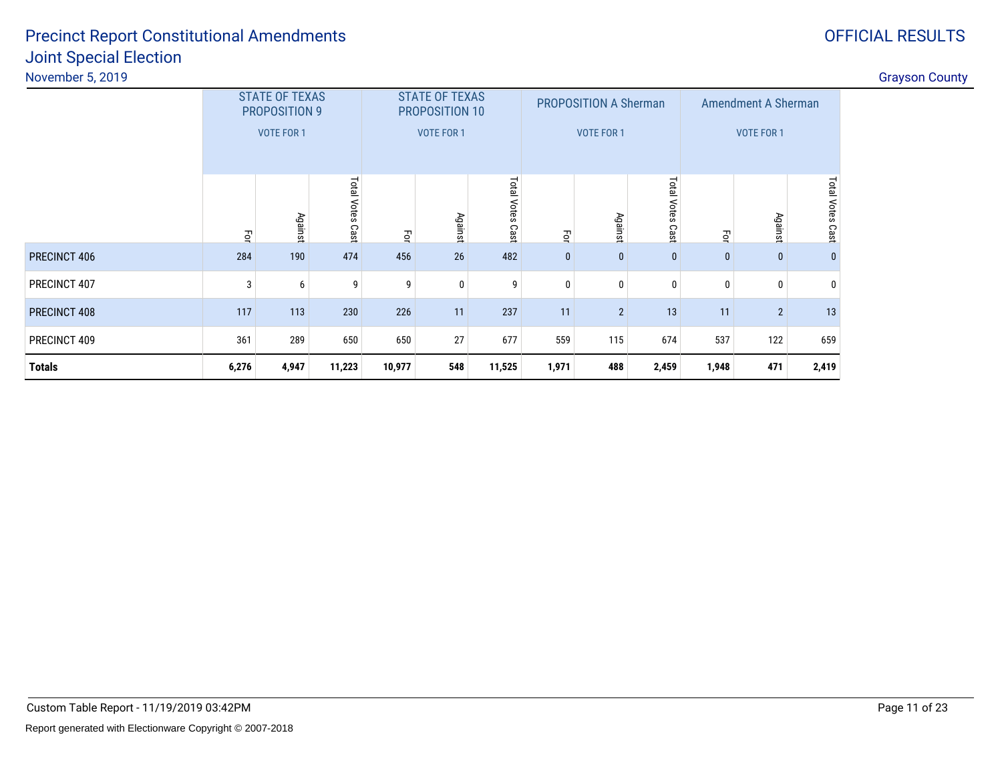**Totals**

| November 5, 2019    |     |                                                             |                  |     |                                                       |                        |              |                                                   |                             |     |                                                 |                   | <b>Grayson County</b> |
|---------------------|-----|-------------------------------------------------------------|------------------|-----|-------------------------------------------------------|------------------------|--------------|---------------------------------------------------|-----------------------------|-----|-------------------------------------------------|-------------------|-----------------------|
|                     |     | <b>STATE OF TEXAS</b><br>PROPOSITION 9<br><b>VOTE FOR 1</b> |                  |     | <b>STATE OF TEXAS</b><br>PROPOSITION 10<br>VOTE FOR 1 |                        |              | <b>PROPOSITION A Sherman</b><br><b>VOTE FOR 1</b> |                             |     | <b>Amendment A Sherman</b><br><b>VOTE FOR 1</b> |                   |                       |
|                     | ਰੂ  | Against                                                     | Total Votes Cast | Ξq  | Agains                                                | Total<br>Votes<br>Cast | ਨੂ           | Agains                                            | <b>Lota</b><br>Votes<br>Cas | Ęor | Against                                         | otal Votes<br>Cas |                       |
| <b>PRECINCT 406</b> | 284 | 190                                                         | 474              | 456 | 26                                                    | 482                    | $\mathbf{0}$ | 0                                                 | $\mathbf{0}$                |     | $\mathbf{0}$                                    |                   |                       |
| PRECINCT 407        | 3   | h                                                           | 9                |     | $\Omega$                                              |                        |              |                                                   |                             |     | 0                                               |                   |                       |
| PRECINCT 408        | 117 | 113                                                         | 230              | 226 | 11                                                    | 237                    | 11           | $\overline{2}$                                    | 13                          | 11  | $\overline{2}$                                  | 13                |                       |
| PRECINCT 409        | 361 | 289                                                         | 650              | 650 | 27                                                    | 677                    | 559          | 115                                               | 674                         | 537 | 122                                             | 659               |                       |

**6,276 4,947 11,223 10,977 <sup>548</sup> 11,525 1,971 <sup>488</sup> 2,459 1,948 <sup>471</sup> 2,419**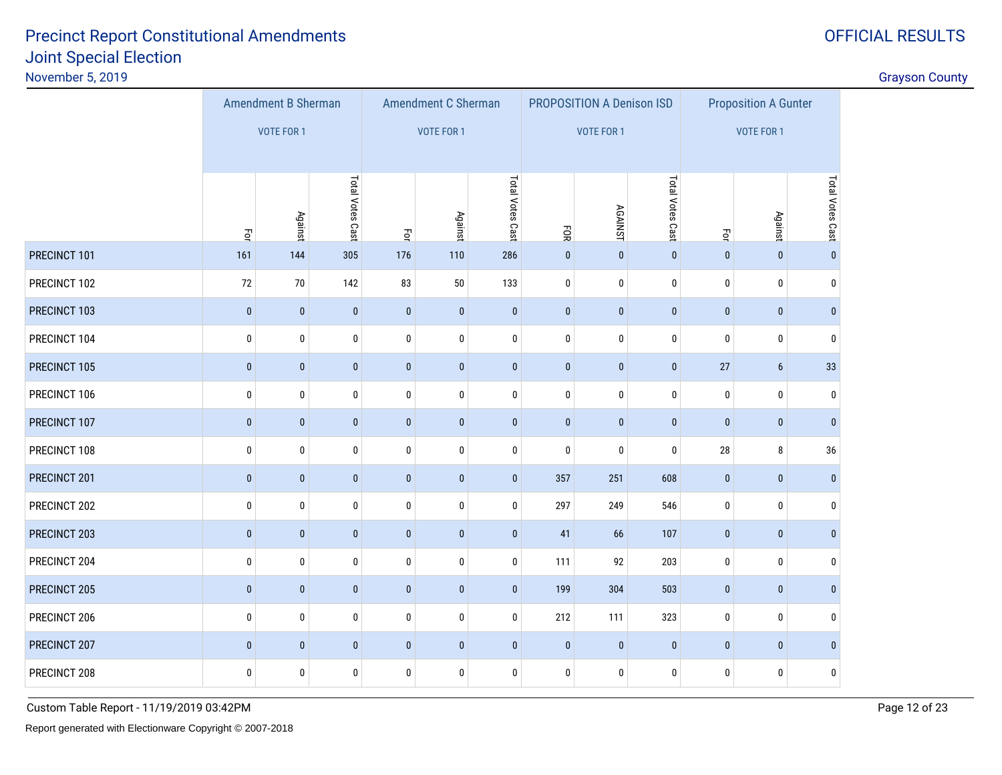OFFICIAL RESULTS

|              |             | <b>Amendment B Sherman</b> |                  |              | Amendment C Sherman |                  |              | PROPOSITION A Denison ISD |                  | <b>Proposition A Gunter</b> |                 |                  |  |
|--------------|-------------|----------------------------|------------------|--------------|---------------------|------------------|--------------|---------------------------|------------------|-----------------------------|-----------------|------------------|--|
|              |             | <b>VOTE FOR 1</b>          |                  |              | <b>VOTE FOR 1</b>   |                  |              | <b>VOTE FOR 1</b>         |                  |                             | VOTE FOR 1      |                  |  |
|              |             |                            |                  |              |                     |                  |              |                           |                  |                             |                 |                  |  |
|              | Ξq          | Against                    | Total Votes Cast | $\Xi$        | Against             | Total Votes Cast | FOR          | <b>AGAINST</b>            | Total Votes Cast | $\vec{\mathsf{S}}$          | Against         | Total Votes Cast |  |
| PRECINCT 101 | 161         | 144                        | 305              | 176          | 110                 | 286              | $\mathbf{0}$ | $\mathbf 0$               | $\pmb{0}$        | $\mathbf{0}$                | $\mathbf{0}$    | $\mathbf{0}$     |  |
| PRECINCT 102 | 72          | $70\,$                     | 142              | 83           | $50\,$              | 133              | $\pmb{0}$    | $\pmb{0}$                 | $\pmb{0}$        | $\pmb{0}$                   | $\bf{0}$        | $\pmb{0}$        |  |
| PRECINCT 103 | $\mathbf 0$ | $\mathbf{0}$               | $\pmb{0}$        | $\mathbf{0}$ | $\mathbf 0$         | $\bf{0}$         | $\mathbf{0}$ | $\mathbf 0$               | $\pmb{0}$        | $\bf{0}$                    | $\mathbf{0}$    | $\mathbf{0}$     |  |
| PRECINCT 104 | 0           | $\pmb{0}$                  | $\pmb{0}$        | $\pmb{0}$    | $\pmb{0}$           | $\pmb{0}$        | $\pmb{0}$    | 0                         | $\pmb{0}$        | $\pmb{0}$                   | 0               | $\mathbf{0}$     |  |
| PRECINCT 105 | $\mathbf 0$ | $\mathbf{0}$               | $\pmb{0}$        | $\bf{0}$     | $\mathbf 0$         | $\bf{0}$         | $\mathbf{0}$ | $\mathbf 0$               | $\mathbf{0}$     | 27                          | $6\phantom{.}6$ | 33               |  |
| PRECINCT 106 | 0           | $\pmb{0}$                  | $\pmb{0}$        | $\pmb{0}$    | $\pmb{0}$           | $\pmb{0}$        | $\pmb{0}$    | $\pmb{0}$                 | $\pmb{0}$        | $\pmb{0}$                   | $\bf{0}$        | $\bf{0}$         |  |
| PRECINCT 107 | $\mathbf 0$ | $\mathbf{0}$               | $\pmb{0}$        | $\bf{0}$     | $\mathbf{0}$        | $\bf{0}$         | $\mathbf{0}$ | $\mathbf 0$               | $\bf{0}$         | $\bf{0}$                    | $\mathbf{0}$    | $\mathbf{0}$     |  |
| PRECINCT 108 | 0           | $\pmb{0}$                  | $\pmb{0}$        | $\pmb{0}$    | $\pmb{0}$           | $\pmb{0}$        | $\pmb{0}$    | $\pmb{0}$                 | 0                | 28                          | 8               | 36               |  |
| PRECINCT 201 | $\mathbf 0$ | $\pmb{0}$                  | $\pmb{0}$        | $\bf{0}$     | $\pmb{0}$           | $\mathbf{0}$     | 357          | 251                       | 608              | $\bf{0}$                    | $\mathbf{0}$    | $\mathbf{0}$     |  |
| PRECINCT 202 | 0           | $\pmb{0}$                  | $\pmb{0}$        | $\pmb{0}$    | $\pmb{0}$           | $\pmb{0}$        | 297          | 249                       | 546              | $\pmb{0}$                   | $\bf{0}$        | $\bf{0}$         |  |
| PRECINCT 203 | $\pmb{0}$   | $\pmb{0}$                  | $\pmb{0}$        | $\pmb{0}$    | $\pmb{0}$           | $\pmb{0}$        | 41           | 66                        | 107              | $\pmb{0}$                   | $\mathbf 0$     | $\mathbf{0}$     |  |
| PRECINCT 204 | 0           | $\pmb{0}$                  | $\pmb{0}$        | $\pmb{0}$    | $\pmb{0}$           | $\pmb{0}$        | 111          | 92                        | 203              | $\pmb{0}$                   | 0               | $\bf{0}$         |  |
| PRECINCT 205 | $\pmb{0}$   | $\pmb{0}$                  | $\pmb{0}$        | $\pmb{0}$    | $\pmb{0}$           | $\pmb{0}$        | 199          | 304                       | 503              | $\pmb{0}$                   | $\mathbf 0$     | $\mathbf{0}$     |  |
| PRECINCT 206 | 0           | $\pmb{0}$                  | $\pmb{0}$        | $\pmb{0}$    | $\pmb{0}$           | $\pmb{0}$        | 212          | 111                       | 323              | $\pmb{0}$                   | 0               | $\bf{0}$         |  |
| PRECINCT 207 | $\pmb{0}$   | $\pmb{0}$                  | $\pmb{0}$        | $\pmb{0}$    | $\pmb{0}$           | $\pmb{0}$        | $\mathbf{0}$ | $\pmb{0}$                 | $\pmb{0}$        | $\pmb{0}$                   | $\mathbf 0$     | $\mathbf{0}$     |  |
| PRECINCT 208 | 0           | 0                          | $\pmb{0}$        | $\pmb{0}$    | $\pmb{0}$           | $\pmb{0}$        | $\bf{0}$     | 0                         | $\pmb{0}$        | 0                           | 0               | $\bf{0}$         |  |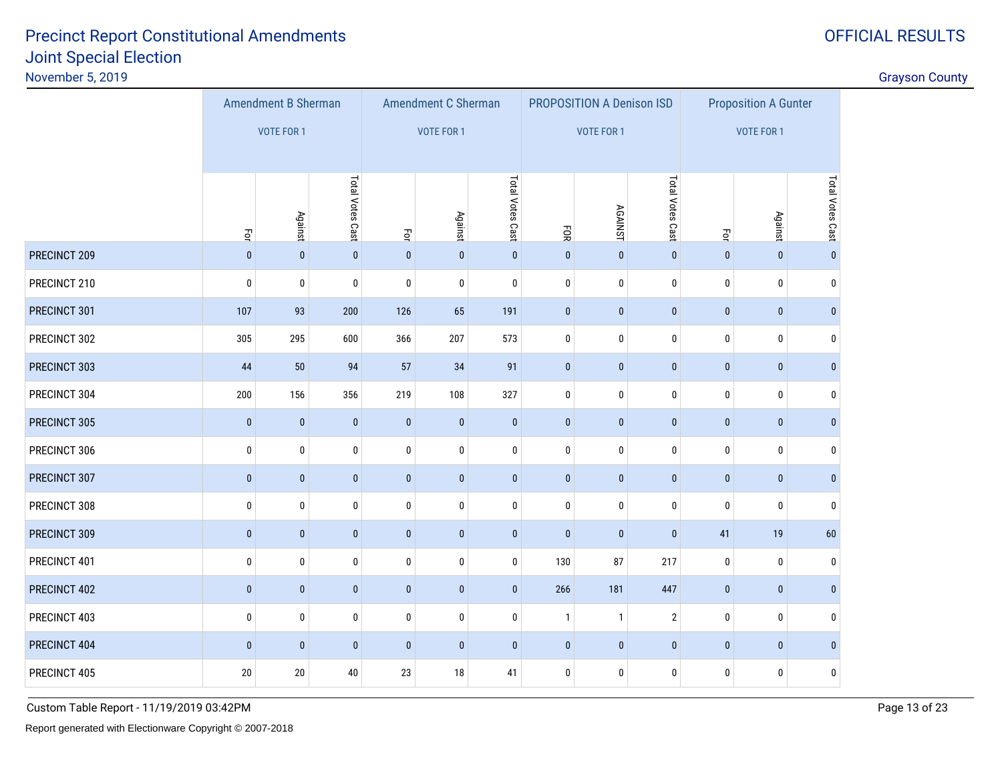OFFICIAL RESULTS

|              |                                      | Amendment B Sherman |                  |                  | Amendment C Sherman |                  |              | PROPOSITION A Denison ISD |                  | <b>Proposition A Gunter</b> |                |                  |  |
|--------------|--------------------------------------|---------------------|------------------|------------------|---------------------|------------------|--------------|---------------------------|------------------|-----------------------------|----------------|------------------|--|
|              |                                      | <b>VOTE FOR 1</b>   |                  |                  | <b>VOTE FOR 1</b>   |                  |              | VOTE FOR 1                |                  | <b>VOTE FOR 1</b>           |                |                  |  |
|              | $\overline{5}$                       | <b>Against</b>      | Total Votes Cast | $\vec{S}$        | <b>Against</b>      | Total Votes Cast | EOR          | <b>AGAINST</b>            | Total Votes Cast | Ęor                         | <b>Against</b> | Total Votes Cast |  |
| PRECINCT 209 | $\pmb{0}$                            | $\pmb{0}$           | $\pmb{0}$        | $\pmb{0}$        | $\pmb{0}$           | $\pmb{0}$        | $\pmb{0}$    | $\pmb{0}$                 | $\pmb{0}$        | $\pmb{0}$                   | $\mathbf{0}$   | $\pmb{0}$        |  |
| PRECINCT 210 | $\pmb{0}$                            | $\pmb{0}$           | $\pmb{0}$        | $\pmb{0}$        | $\pmb{0}$           | $\bf{0}$         | $\pmb{0}$    | 0                         | 0                | $\pmb{0}$                   | $\bf{0}$       | $\pmb{0}$        |  |
| PRECINCT 301 | 107<br>93<br>200                     |                     |                  | 126              | 65                  | 191              | $\mathbf 0$  | $\pmb{0}$                 | $\pmb{0}$        | $\pmb{0}$                   | $\mathbf{0}$   | $\mathbf{0}$     |  |
| PRECINCT 302 | 305                                  | 295                 | 600              | 366              | 207                 | 573              | $\pmb{0}$    | 0                         | 0                | $\pmb{0}$                   | $\pmb{0}$      | $\boldsymbol{0}$ |  |
| PRECINCT 303 | 94<br>44<br>$50\,$                   |                     | 57               | 34               | 91                  | $\pmb{0}$        | $\pmb{0}$    | $\pmb{0}$                 | $\pmb{0}$        | $\mathbf{0}$                | $\bf{0}$       |                  |  |
| PRECINCT 304 | 200                                  | 156                 | 356              | 219              | 108                 | 327              | $\pmb{0}$    | 0                         | $\bf{0}$         | 0                           | $\mathbf 0$    | $\mathbf{0}$     |  |
| PRECINCT 305 | $\pmb{0}$                            | $\mathbf{0}$        | $\pmb{0}$        | $\pmb{0}$        | $\pmb{0}$           | $\pmb{0}$        | $\mathbf 0$  | $\pmb{0}$                 | $\pmb{0}$        | $\pmb{0}$                   | $\mathbf{0}$   | $\bf{0}$         |  |
| PRECINCT 306 | 0                                    | 0                   | 0                | 0                | $\bf{0}$            | 0                | 0            | 0                         | 0                | 0                           | $\mathbf 0$    | 0                |  |
| PRECINCT 307 | $\pmb{0}$                            | $\pmb{0}$           | $\pmb{0}$        | $\pmb{0}$        | $\pmb{0}$           | $\pmb{0}$        | $\pmb{0}$    | $\pmb{0}$                 | $\pmb{0}$        | $\pmb{0}$                   | $\bf{0}$       | $\bf{0}$         |  |
| PRECINCT 308 | 0                                    | 0                   | 0                | 0                | $\pmb{0}$           | $\bf{0}$         | $\pmb{0}$    | 0                         | $\bf{0}$         | 0                           | $\mathbf 0$    | $\mathbf{0}$     |  |
| PRECINCT 309 | $\pmb{0}$                            | $\bf{0}$            | $\pmb{0}$        | $\pmb{0}$        | $\pmb{0}$           | $\pmb{0}$        | $\bf{0}$     | $\pmb{0}$                 | $\pmb{0}$        | 41                          | 19             | $60\,$           |  |
| PRECINCT 401 | 0                                    | 0                   | 0                | $\pmb{0}$        | $\pmb{0}$           | 0                | 130          | 87                        | 217              | 0                           | $\mathbf 0$    | $\mathbf{0}$     |  |
| PRECINCT 402 | $\pmb{0}$                            | $\bf{0}$            | $\pmb{0}$        | $\pmb{0}$        | $\pmb{0}$           | $\pmb{0}$        | 266          | 181                       | 447              | $\pmb{0}$                   | $\bf{0}$       | $\pmb{0}$        |  |
| PRECINCT 403 | 0<br>$\pmb{0}$<br>0                  |                     |                  | $\pmb{0}$        | $\pmb{0}$           | 0                | $\mathbf{1}$ | $\mathbf{1}$              | $\mathbf{2}$     | 0                           | 0              | $\mathbf{0}$     |  |
| PRECINCT 404 | $\bf{0}$<br>$\mathbf{0}$<br>$\bf{0}$ |                     |                  | $\pmb{0}$        | $\pmb{0}$           | $\mathbf{0}$     | $\pmb{0}$    | $\pmb{0}$                 | $\pmb{0}$        | $\pmb{0}$                   | $\mathbf{0}$   | $\bf{0}$         |  |
| PRECINCT 405 | $20\,$<br>$20\,$<br>$40\,$           |                     |                  | 23<br>$18$<br>41 |                     |                  | $\pmb{0}$    | 0                         | 0                | 0                           | 0              | $\pmb{0}$        |  |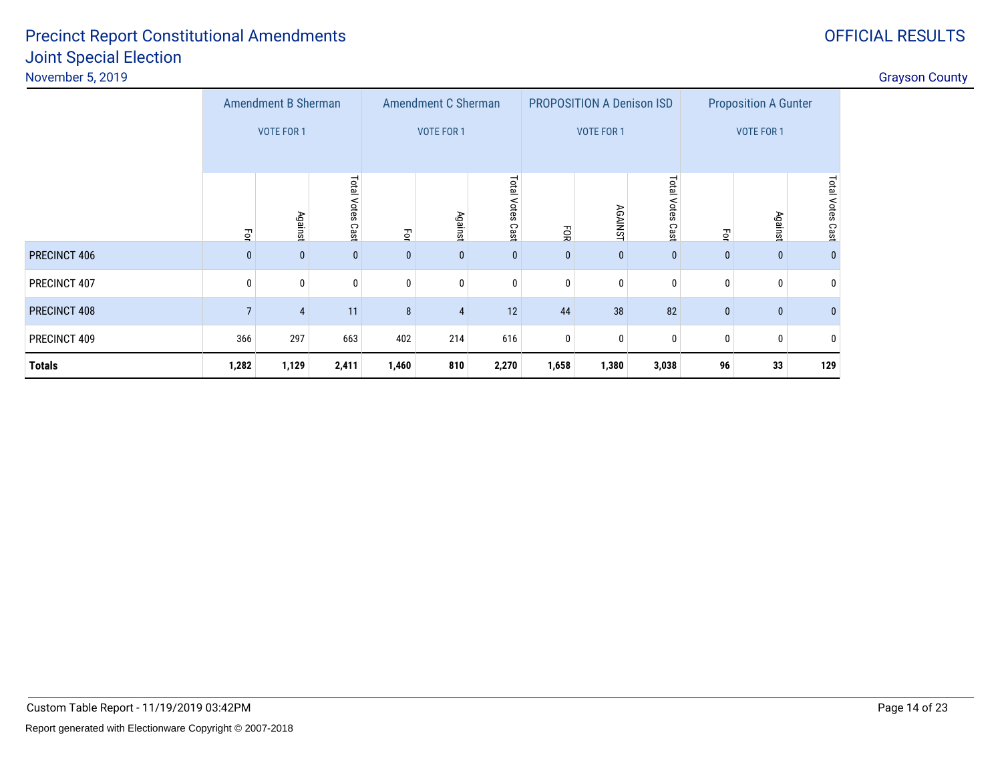|          | Grayson Count |
|----------|---------------|
| A Gunter |               |

|                            |                     |                                  |                             | <b>Grayson County</b> |
|----------------------------|---------------------|----------------------------------|-----------------------------|-----------------------|
| <b>Amendment B Sherman</b> | Amendment C Sherman | <b>PROPOSITION A Denison ISD</b> | <b>Proposition A Gunter</b> |                       |
| VOTE FOR 1                 | VOTE FOR 1          | <b>VOTE FOR 1</b>                | VOTE FOR 1                  |                       |
|                            |                     |                                  |                             |                       |
| o                          | $\circ$             |                                  |                             |                       |

|               | 로            | Against      | Total Votes<br>Cast | Ęa           | <b>Against</b> | Total<br>Votes<br>Cast | ĒОК          | <b>AGAINS</b><br>⊣ | <b>Tota</b><br>Votes<br>Cast | $\vec{\mathsf{S}}$ | <b>Against</b> | o<br>Cast |
|---------------|--------------|--------------|---------------------|--------------|----------------|------------------------|--------------|--------------------|------------------------------|--------------------|----------------|-----------|
| PRECINCT 406  | $\mathbf{0}$ | $\mathbf{0}$ | $\mathbf 0$         | $\mathbf{0}$ | 0              | $\mathbf{0}$           | $\mathbf{0}$ | $\mathbf{0}$       | $\mathbf{0}$                 | $\mathbf{0}$       | $\mathbf{0}$   | $\bf{0}$  |
| PRECINCT 407  | 0            | 0            | 0                   | 0            |                | 0                      | 0            | $\mathbf{0}$       | 0                            |                    | 0              | 0         |
| PRECINCT 408  |              | 4            | 11                  | 8            | 4              | 12                     | 44           | 38 <sup>°</sup>    | 82                           | $\mathbf{0}$       | $\mathbf{0}$   | $\bf{0}$  |
| PRECINCT 409  | 366          | 297          | 663                 | 402          | 214            | 616                    | 0            | $\mathbf{0}$       | 0                            |                    | 0              | 0         |
| <b>Totals</b> | 1,282        | 1,129        | 2,411               | 1,460        | 810            | 2,270                  | 1,658        | 1,380              | 3,038                        | 96                 | 33             | 129       |

# OFFICIAL RESULTS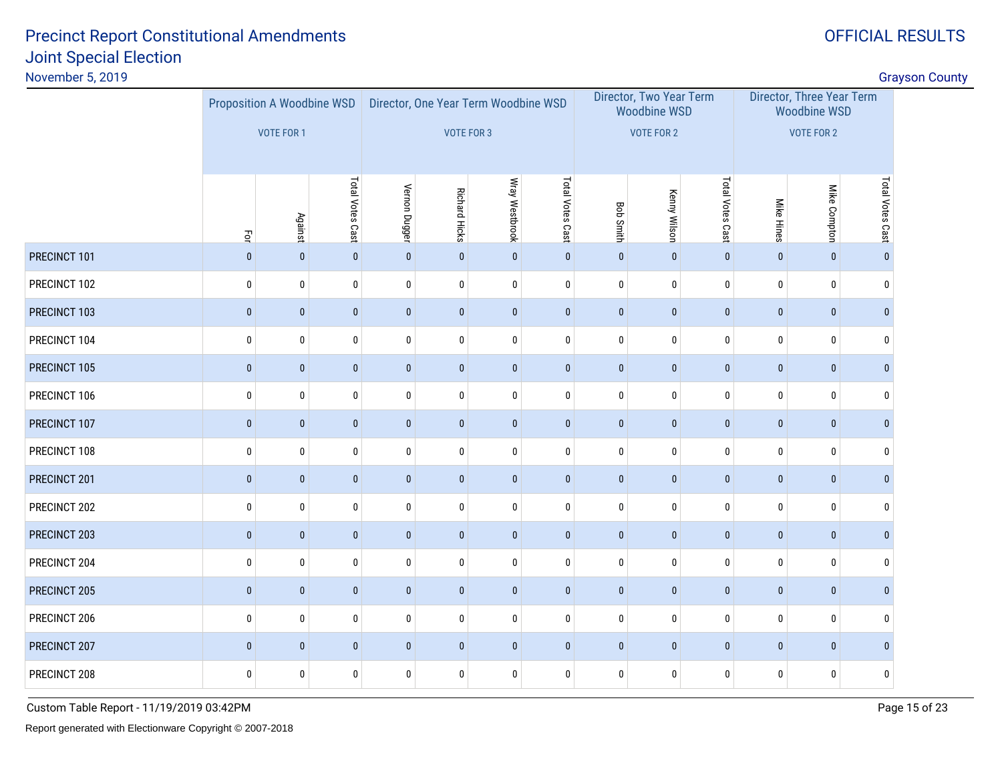OFFICIAL RESULTS

| November 5, 2019 |                                            |                                                 |                  |                                                    |                      |                |                  |                  |                                                                     |                  |                                                                       |              |                  | <b>Grayson County</b> |
|------------------|--------------------------------------------|-------------------------------------------------|------------------|----------------------------------------------------|----------------------|----------------|------------------|------------------|---------------------------------------------------------------------|------------------|-----------------------------------------------------------------------|--------------|------------------|-----------------------|
|                  |                                            | Proposition A Woodbine WSD<br><b>VOTE FOR 1</b> |                  | Director, One Year Term Woodbine WSD<br>VOTE FOR 3 |                      |                |                  |                  | Director, Two Year Term<br><b>Woodbine WSD</b><br><b>VOTE FOR 2</b> |                  | Director, Three Year Term<br><b>Woodbine WSD</b><br><b>VOTE FOR 2</b> |              |                  |                       |
|                  | $\vec{\mathsf{P}}$                         | Against                                         | Total Votes Cast | Vernon Dugger                                      | <b>Richard Hicks</b> | Wray Westbrook | Total Votes Cast | <b>Bob Smith</b> | <b>Kenny Wilson</b>                                                 | Total Votes Cast | <b>Mike Hines</b>                                                     | Mike Compton | Total Votes Cast |                       |
| PRECINCT 101     | $\mathbf{0}$                               | $\pmb{0}$                                       | $\pmb{0}$        | $\pmb{0}$                                          | $\pmb{0}$            | $\mathbf{0}$   | $\pmb{0}$        | $\pmb{0}$        | $\pmb{0}$                                                           | $\pmb{0}$        | $\mathbf{0}$                                                          | $\pmb{0}$    | $\mathbf{0}$     |                       |
| PRECINCT 102     | $\mathbf 0$                                | $\pmb{0}$                                       | $\pmb{0}$        | $\pmb{0}$                                          | $\pmb{0}$            | $\mathbf 0$    | $\pmb{0}$        | $\pmb{0}$        | $\bf{0}$                                                            | $\pmb{0}$        | $\pmb{0}$                                                             | $\pmb{0}$    | $\mathbf{0}$     |                       |
| PRECINCT 103     | $\pmb{0}$                                  | $\pmb{0}$                                       | $\pmb{0}$        | $\pmb{0}$                                          | $\pmb{0}$            | $\pmb{0}$      | $\pmb{0}$        | $\pmb{0}$        | $\bf{0}$                                                            | $\pmb{0}$        | $\pmb{0}$                                                             | $\pmb{0}$    | $\mathbf{0}$     |                       |
| PRECINCT 104     | $\pmb{0}$                                  | $\bf{0}$                                        | $\pmb{0}$        | 0                                                  | $\pmb{0}$            | $\mathbf 0$    | 0                | $\bf{0}$         | $\bf{0}$                                                            | $\mathbf 0$      | $\bf{0}$                                                              | $\mathbf 0$  | $\mathbf{0}$     |                       |
| PRECINCT 105     | $\pmb{0}$                                  | $\pmb{0}$                                       | $\pmb{0}$        | $\pmb{0}$                                          | $\pmb{0}$            | $\pmb{0}$      | $\pmb{0}$        | $\pmb{0}$        | $\pmb{0}$                                                           | $\pmb{0}$        | $\pmb{0}$                                                             | $\pmb{0}$    | $\mathbf{0}$     |                       |
| PRECINCT 106     | $\mathbf 0$                                | 0                                               | $\pmb{0}$        | 0                                                  | $\bf{0}$             | $\mathbf 0$    | 0                | 0                | $\bf{0}$                                                            | $\bf{0}$         | $\bf{0}$                                                              | 0            | $\mathbf{0}$     |                       |
| PRECINCT 107     | $\pmb{0}$                                  | $\pmb{0}$                                       | $\pmb{0}$        | $\pmb{0}$                                          | $\pmb{0}$            | $\mathbf 0$    | $\pmb{0}$        | $\pmb{0}$        | $\pmb{0}$                                                           | $\pmb{0}$        | $\pmb{0}$                                                             | $\pmb{0}$    | $\mathbf{0}$     |                       |
| PRECINCT 108     | $\pmb{0}$                                  | $\pmb{0}$                                       | $\pmb{0}$        | 0                                                  | $\bf{0}$             | $\mathbf 0$    | 0                | $\mathbf 0$      | $\pmb{0}$                                                           | $\pmb{0}$        | $\pmb{0}$                                                             | $\pmb{0}$    | $\mathbf 0$      |                       |
| PRECINCT 201     | $\mathbf{0}$                               | $\pmb{0}$                                       | $\pmb{0}$        | $\pmb{0}$                                          | $\pmb{0}$            | $\mathbf{0}$   | $\bf{0}$         | $\pmb{0}$        | $\pmb{0}$                                                           | $\pmb{0}$        | $\pmb{0}$                                                             | $\pmb{0}$    | $\mathbf{0}$     |                       |
| PRECINCT 202     | $\pmb{0}$                                  | $\bf{0}$                                        | $\pmb{0}$        | $\pmb{0}$                                          | $\bf{0}$             | $\mathbf 0$    | 0                | $\bf{0}$         | $\mathbf 0$                                                         | $\pmb{0}$        | $\bf{0}$                                                              | $\mathbf 0$  | $\mathbf 0$      |                       |
| PRECINCT 203     | $\bf{0}$                                   | $\pmb{0}$                                       | $\pmb{0}$        | $\pmb{0}$                                          | $\pmb{0}$            | $\mathbf{0}$   | $\pmb{0}$        | $\pmb{0}$        | $\pmb{0}$                                                           | $\pmb{0}$        | $\pmb{0}$                                                             | $\pmb{0}$    | $\mathbf{0}$     |                       |
| PRECINCT 204     | $\pmb{0}$                                  | $\bf{0}$                                        | $\pmb{0}$        | $\pmb{0}$                                          | $\bf{0}$             | $\mathbf 0$    | 0                | $\mathbf 0$      | $\pmb{0}$                                                           | $\mathbf 0$      | $\bf{0}$                                                              | $\mathbf 0$  | $\mathbf{0}$     |                       |
| PRECINCT 205     | $\pmb{0}$                                  | $\pmb{0}$                                       | $\pmb{0}$        | $\pmb{0}$                                          | $\pmb{0}$            | $\pmb{0}$      | $\bf{0}$         | $\pmb{0}$        | $\pmb{0}$                                                           | $\pmb{0}$        | $\pmb{0}$                                                             | $\pmb{0}$    | $\mathbf{0}$     |                       |
| PRECINCT 206     | $\bf{0}$                                   | 0                                               | $\pmb{0}$        | $\pmb{0}$                                          | $\pmb{0}$            | 0              | 0                | 0                | $\pmb{0}$                                                           | $\pmb{0}$        | $\pmb{0}$                                                             | $\pmb{0}$    | $\mathbf{0}$     |                       |
| PRECINCT 207     | $\mathbf 0$<br>$\mathbf 0$<br>$\mathbf{0}$ |                                                 |                  | $\mathbf 0$                                        | $\mathbf 0$          | $\mathbf{0}$   | $\bf{0}$         | $\mathbf{0}$     | $\mathbf{0}$                                                        | $\mathbf{0}$     | $\mathbf{0}$                                                          | $\pmb{0}$    | $\mathbf{0}$     |                       |
| PRECINCT 208     | $\pmb{0}$                                  | 0                                               | $\pmb{0}$        | $\pmb{0}$                                          | $\pmb{0}$            | $\mathbf 0$    | 0                | 0                | $\pmb{0}$                                                           | $\pmb{0}$        | $\pmb{0}$                                                             | $\pmb{0}$    | 0                |                       |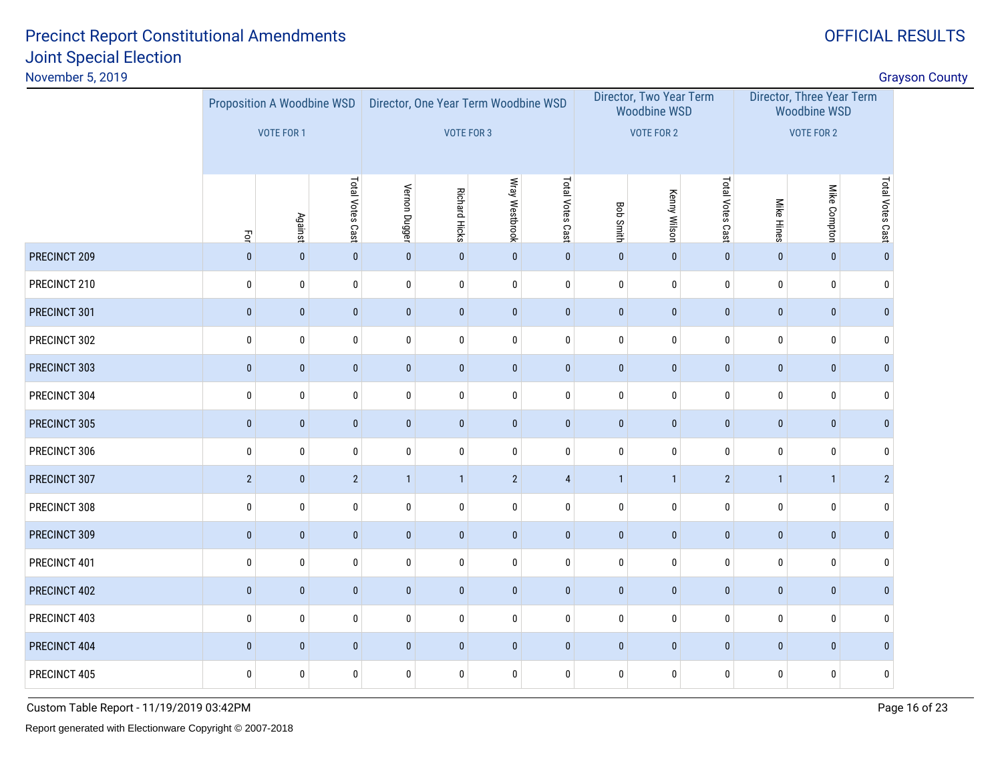OFFICIAL RESULTS

| November 5, 2019 |                                          |                                                 |                  |                                                    |                      |                |                  |                  |                                                                     |                  |                                                                       |              |                  | <b>Grayson County</b> |
|------------------|------------------------------------------|-------------------------------------------------|------------------|----------------------------------------------------|----------------------|----------------|------------------|------------------|---------------------------------------------------------------------|------------------|-----------------------------------------------------------------------|--------------|------------------|-----------------------|
|                  |                                          | Proposition A Woodbine WSD<br><b>VOTE FOR 1</b> |                  | Director, One Year Term Woodbine WSD<br>VOTE FOR 3 |                      |                |                  |                  | Director, Two Year Term<br><b>Woodbine WSD</b><br><b>VOTE FOR 2</b> |                  | Director, Three Year Term<br><b>Woodbine WSD</b><br><b>VOTE FOR 2</b> |              |                  |                       |
|                  | $\vec{\mathsf{P}}$                       | Against                                         | Total Votes Cast | Vernon Dugger                                      | <b>Richard Hicks</b> | Wray Westbrook | Total Votes Cast | <b>Bob Smith</b> | <b>Kenny Wilson</b>                                                 | Total Votes Cast | <b>Mike Hines</b>                                                     | Mike Compton | Total Votes Cast |                       |
| PRECINCT 209     | $\mathbf{0}$                             | $\pmb{0}$                                       | $\pmb{0}$        | $\pmb{0}$                                          | $\mathbf 0$          | $\mathbf{0}$   | $\pmb{0}$        | $\pmb{0}$        | $\pmb{0}$                                                           | $\pmb{0}$        | $\mathbf{0}$                                                          | $\pmb{0}$    | $\mathbf{0}$     |                       |
| PRECINCT 210     | $\mathbf 0$                              | $\pmb{0}$                                       | $\pmb{0}$        | $\pmb{0}$                                          | $\pmb{0}$            | $\mathbf 0$    | $\mathbf 0$      | $\pmb{0}$        | $\bf{0}$                                                            | $\pmb{0}$        | $\pmb{0}$                                                             | $\pmb{0}$    | $\mathbf{0}$     |                       |
| PRECINCT 301     | $\pmb{0}$                                | $\pmb{0}$                                       | $\pmb{0}$        | $\pmb{0}$                                          | $\pmb{0}$            | $\pmb{0}$      | $\pmb{0}$        | $\pmb{0}$        | $\bf{0}$                                                            | $\pmb{0}$        | $\pmb{0}$                                                             | $\pmb{0}$    | $\mathbf{0}$     |                       |
| PRECINCT 302     | $\pmb{0}$                                | $\bf{0}$                                        | $\pmb{0}$        | 0                                                  | $\pmb{0}$            | $\mathbf 0$    | 0                | $\bf{0}$         | $\bf{0}$                                                            | $\mathbf 0$      | $\bf{0}$                                                              | $\mathbf 0$  | $\mathbf{0}$     |                       |
| PRECINCT 303     | $\pmb{0}$                                | $\pmb{0}$                                       | $\pmb{0}$        | $\pmb{0}$                                          | $\pmb{0}$            | $\pmb{0}$      | $\pmb{0}$        | $\pmb{0}$        | $\pmb{0}$                                                           | $\pmb{0}$        | $\pmb{0}$                                                             | $\pmb{0}$    | $\mathbf{0}$     |                       |
| PRECINCT 304     | $\mathbf 0$                              | 0                                               | $\pmb{0}$        | 0                                                  | $\bf{0}$             | $\mathbf 0$    | 0                | 0                | $\bf{0}$                                                            | $\mathbf 0$      | $\bf{0}$                                                              | 0            | $\mathbf{0}$     |                       |
| PRECINCT 305     | $\pmb{0}$                                | $\pmb{0}$                                       | $\pmb{0}$        | $\pmb{0}$                                          | $\pmb{0}$            | $\mathbf 0$    | $\pmb{0}$        | $\pmb{0}$        | $\pmb{0}$                                                           | $\pmb{0}$        | $\pmb{0}$                                                             | $\pmb{0}$    | $\mathbf{0}$     |                       |
| PRECINCT 306     | $\pmb{0}$                                | $\pmb{0}$                                       | $\pmb{0}$        | 0                                                  | $\pmb{0}$            | $\bf{0}$       | 0                | $\bf{0}$         | $\pmb{0}$                                                           | $\pmb{0}$        | $\pmb{0}$                                                             | $\pmb{0}$    | $\mathbf 0$      |                       |
| PRECINCT 307     | $\sqrt{2}$                               | $\pmb{0}$                                       | $\sqrt{2}$       | $\mathbf{1}$                                       | $\mathbf{1}$         | $\overline{2}$ | $\overline{4}$   | $\mathbf{1}$     | $\mathbf{1}$                                                        | $\sqrt{2}$       | $\mathbf{1}$                                                          | $\mathbf{1}$ | $\overline{2}$   |                       |
| PRECINCT 308     | $\pmb{0}$                                | $\bf{0}$                                        | $\pmb{0}$        | $\pmb{0}$                                          | $\bf{0}$             | $\mathbf 0$    | 0                | $\bf{0}$         | $\mathbf 0$                                                         | $\pmb{0}$        | $\bf{0}$                                                              | $\mathbf 0$  | $\mathbf 0$      |                       |
| PRECINCT 309     | $\pmb{0}$                                | $\pmb{0}$                                       | $\pmb{0}$        | $\pmb{0}$                                          | $\pmb{0}$            | $\mathbf{0}$   | $\pmb{0}$        | $\pmb{0}$        | $\pmb{0}$                                                           | $\pmb{0}$        | $\pmb{0}$                                                             | $\pmb{0}$    | $\mathbf{0}$     |                       |
| PRECINCT 401     | $\pmb{0}$                                | $\bf{0}$                                        | $\pmb{0}$        | $\pmb{0}$                                          | $\pmb{0}$            | $\mathbf 0$    | 0                | $\mathbf 0$      | $\pmb{0}$                                                           | $\pmb{0}$        | $\bf{0}$                                                              | $\mathbf 0$  | $\mathbf{0}$     |                       |
| PRECINCT 402     | $\pmb{0}$                                | $\pmb{0}$                                       | $\pmb{0}$        | $\pmb{0}$                                          | $\pmb{0}$            | $\pmb{0}$      | $\bf{0}$         | $\pmb{0}$        | $\pmb{0}$                                                           | $\pmb{0}$        | $\pmb{0}$                                                             | $\pmb{0}$    | $\mathbf{0}$     |                       |
| PRECINCT 403     | $\pmb{0}$                                | 0                                               | $\pmb{0}$        | $\pmb{0}$                                          | $\pmb{0}$            | 0              | 0                | 0                | $\pmb{0}$                                                           | $\pmb{0}$        | $\pmb{0}$                                                             | $\pmb{0}$    | $\mathbf{0}$     |                       |
| PRECINCT 404     | $\mathbf 0$<br>$\pmb{0}$<br>$\mathbf{0}$ |                                                 |                  | $\mathbf 0$                                        | $\mathbf 0$          | $\mathbf{0}$   | $\bf{0}$         | $\mathbf{0}$     | $\mathbf{0}$                                                        | $\mathbf{0}$     | $\mathbf{0}$                                                          | $\pmb{0}$    | $\mathbf{0}$     |                       |
| PRECINCT 405     | $\pmb{0}$                                | 0                                               | $\pmb{0}$        | $\pmb{0}$                                          | $\pmb{0}$            | $\mathbf 0$    | 0                | 0                | $\pmb{0}$                                                           | $\pmb{0}$        | $\pmb{0}$                                                             | $\pmb{0}$    | 0                |                       |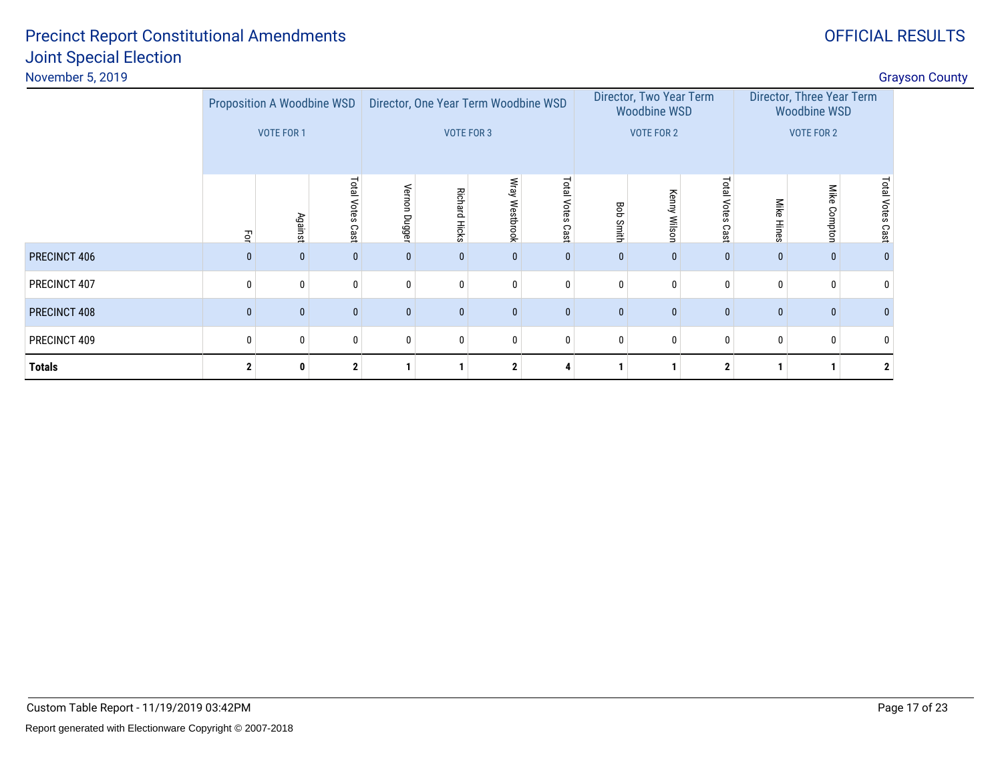PRECINCT 406

PRECINCT 407

PRECINCT 408

PRECINCT 409

**Totals**

| ort Constitutional Amendments i | OFFICIAL RESULTS                                  |
|---------------------------------|---------------------------------------------------|
| <b>Election</b>                 |                                                   |
|                                 | <b>Grayson County</b>                             |
|                                 | ___<br><b>Service Service</b><br>_______<br>_____ |

|     | <b>Proposition A Woodbine WSD</b> |                             |                              |                         | Director, One Year Term Woodbine WSD |                      |                   | Director, Two Year Term<br><b>Woodbine WSD</b> |                               | Director, Three Year Term<br><b>Woodbine WSD</b> |                   |                       |  |  |
|-----|-----------------------------------|-----------------------------|------------------------------|-------------------------|--------------------------------------|----------------------|-------------------|------------------------------------------------|-------------------------------|--------------------------------------------------|-------------------|-----------------------|--|--|
|     | VOTE FOR 1                        |                             |                              |                         | <b>VOTE FOR 3</b>                    |                      |                   | <b>VOTE FOR 2</b>                              |                               |                                                  | <b>VOTE FOR 2</b> |                       |  |  |
| Ęor | <b>Against</b>                    | <b>Lota</b><br>otes<br>Cast | <sup>l</sup> ernon<br>Dugger | Richard<br><b>Hicks</b> | ತಿ<br>Westbrook                      |                      | Bob<br>Smitl<br>ᡱ | Kenny<br>Wilson                                | <b>Total</b><br>Votes<br>Cast | Mike<br>Hine<br>Ö                                | Mike<br>Compton   | Total<br>otes<br>Cast |  |  |
|     |                                   |                             |                              |                         |                                      | Cast<br>$\mathbf{0}$ |                   |                                                |                               |                                                  |                   |                       |  |  |
|     |                                   |                             |                              |                         |                                      |                      |                   |                                                |                               |                                                  |                   |                       |  |  |

8 0 0 0 0 0 0 0 0 0 0 0 0

<sup>0</sup> <sup>0</sup> <sup>0</sup> <sup>0</sup> <sup>0</sup> <sup>0</sup> <sup>0</sup> <sup>0</sup> <sup>0</sup> <sup>0</sup> <sup>0</sup> <sup>0</sup> <sup>0</sup>

**<sup>2</sup> <sup>0</sup> <sup>2</sup> <sup>1</sup> <sup>1</sup> <sup>2</sup> <sup>4</sup> <sup>1</sup> <sup>1</sup> <sup>2</sup> <sup>1</sup> <sup>1</sup> <sup>2</sup>**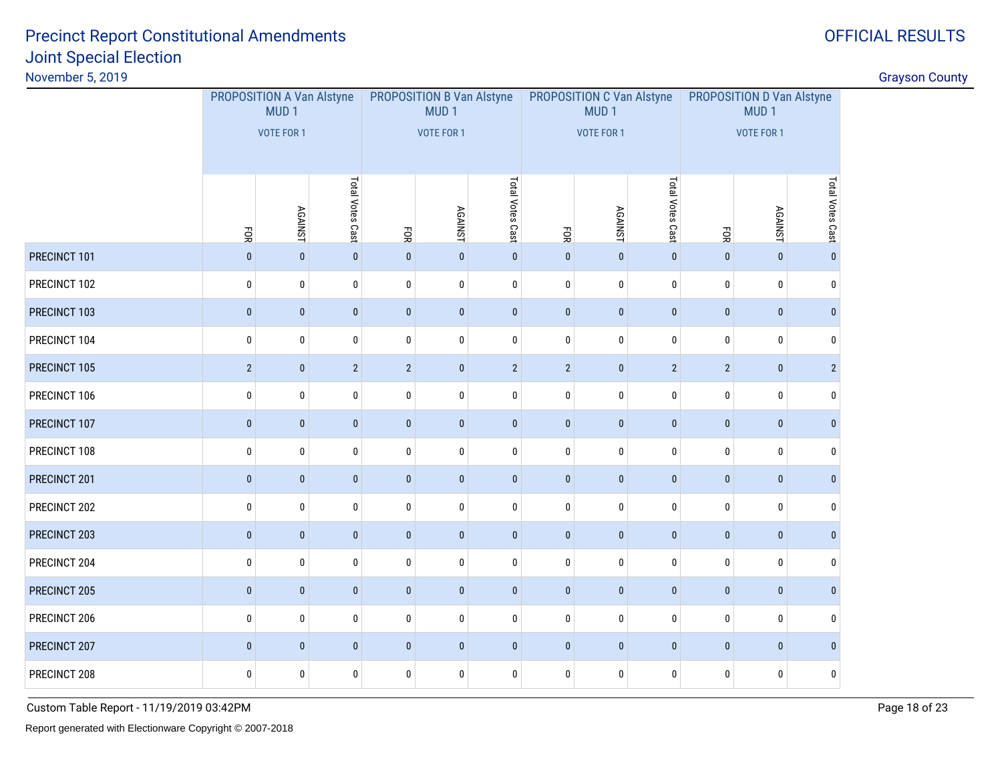# OFFICIAL RESULTS

|              | PROPOSITION A Van Alstyne<br>MUD <sub>1</sub><br>VOTE FOR 1 |              |              |                | <b>PROPOSITION B Van Alstyne</b><br>MUD <sub>1</sub><br><b>VOTE FOR 1</b> |                |                    | PROPOSITION C Van Alstyne<br>MUD <sub>1</sub><br>VOTE FOR 1 |                | PROPOSITION D Van Alstyne<br>MUD <sub>1</sub><br><b>VOTE FOR 1</b> |                  |                |  |
|--------------|-------------------------------------------------------------|--------------|--------------|----------------|---------------------------------------------------------------------------|----------------|--------------------|-------------------------------------------------------------|----------------|--------------------------------------------------------------------|------------------|----------------|--|
|              | Total Votes Cast<br><b>AGAINST</b><br>FOR                   |              | ĒОК          |                | Total Votes Cast<br><b>AGAINST</b>                                        |                | <b>AGAINST</b>     | Total Votes Cast                                            | FOR            | <b>AGAINST</b>                                                     | Total Votes Cast |                |  |
| PRECINCT 101 | $\pmb{0}$                                                   | $\pmb{0}$    | $\pmb{0}$    | $\mathbf{0}$   | $\pmb{0}$                                                                 | $\mathbf 0$    | ĒОR<br>$\mathbf 0$ | $\pmb{0}$                                                   | $\pmb{0}$      | $\pmb{0}$                                                          | $\mathbf{0}$     | $\pmb{0}$      |  |
| PRECINCT 102 | $\bf{0}$                                                    | $\mathbf 0$  | $\mathbf 0$  | $\bf{0}$       | $\bf{0}$                                                                  | $\mathbf 0$    | $\bf{0}$           | $\bf{0}$                                                    | $\mathbf 0$    | 0                                                                  | $\mathbf 0$      | $\mathbf 0$    |  |
| PRECINCT 103 | $\pmb{0}$                                                   | $\mathbf{0}$ | $\pmb{0}$    | $\pmb{0}$      | $\pmb{0}$                                                                 | $\pmb{0}$      | $\pmb{0}$          | $\pmb{0}$                                                   | $\pmb{0}$      | $\pmb{0}$                                                          | $\pmb{0}$        | $\mathbf{0}$   |  |
| PRECINCT 104 | $\pmb{0}$                                                   | $\mathbf 0$  | $\mathbf 0$  | $\pmb{0}$      | $\mathbf 0$                                                               | $\mathbf 0$    | $\mathbf 0$        | $\mathbf 0$                                                 | $\pmb{0}$      | $\mathbf{0}$                                                       | $\mathbf 0$      | $\mathbf{0}$   |  |
| PRECINCT 105 | $\overline{2}$                                              | $\pmb{0}$    | $\sqrt{2}$   | $\overline{2}$ | $\pmb{0}$                                                                 | $\overline{2}$ | $\overline{2}$     | $\pmb{0}$                                                   | $\overline{2}$ | $\overline{2}$                                                     | $\mathbf{0}$     | $\overline{2}$ |  |
| PRECINCT 106 | $\bf{0}$                                                    | $\mathbf 0$  | $\pmb{0}$    | $\pmb{0}$      | $\bf{0}$                                                                  | $\mathbf 0$    | $\mathbf 0$        | 0                                                           | $\pmb{0}$      | 0                                                                  | $\mathbf 0$      | $\mathbf 0$    |  |
| PRECINCT 107 | $\pmb{0}$                                                   | $\mathbf{0}$ | $\pmb{0}$    | $\pmb{0}$      | $\pmb{0}$                                                                 | $\pmb{0}$      | $\pmb{0}$          | $\pmb{0}$                                                   | $\pmb{0}$      | $\pmb{0}$                                                          | $\mathbf{0}$     | $\mathbf{0}$   |  |
| PRECINCT 108 | $\pmb{0}$                                                   | $\mathbf{0}$ | $\mathbf 0$  | $\pmb{0}$      | $\mathbf 0$                                                               | $\mathbf 0$    | $\mathbf 0$        | $\mathbf 0$                                                 | $\pmb{0}$      | $\mathbf{0}$                                                       | $\mathbf{0}$     | $\mathbf{0}$   |  |
| PRECINCT 201 | $\pmb{0}$                                                   | $\pmb{0}$    | $\pmb{0}$    | $\pmb{0}$      | $\pmb{0}$                                                                 | $\mathbf 0$    | $\pmb{0}$          | $\pmb{0}$                                                   | $\pmb{0}$      | $\pmb{0}$                                                          | $\mathbf{0}$     | $\mathbf{0}$   |  |
| PRECINCT 202 | $\pmb{0}$                                                   | $\mathbf 0$  | $\mathbf 0$  | $\pmb{0}$      | $\pmb{0}$                                                                 | $\mathbf 0$    | $\mathbf 0$        | $\pmb{0}$                                                   | $\pmb{0}$      | 0                                                                  | $\mathbf 0$      | $\mathbf 0$    |  |
| PRECINCT 203 | $\pmb{0}$                                                   | $\mathbf{0}$ | $\pmb{0}$    | $\pmb{0}$      | $\pmb{0}$                                                                 | $\mathbf 0$    | $\pmb{0}$          | $\mathbf 0$                                                 | $\pmb{0}$      | $\pmb{0}$                                                          | $\mathbf 0$      | $\mathbf{0}$   |  |
| PRECINCT 204 | $\pmb{0}$                                                   | $\mathbf{0}$ | $\mathbf{0}$ | $\mathbf 0$    | $\pmb{0}$                                                                 | $\mathbf{0}$   | $\pmb{0}$          | 0                                                           | $\bf{0}$       | $\mathbf{0}$                                                       | $\mathbf{0}$     | $\mathbf{0}$   |  |
| PRECINCT 205 | $\pmb{0}$                                                   | $\pmb{0}$    | $\pmb{0}$    | $\pmb{0}$      | $\pmb{0}$                                                                 | $\pmb{0}$      | $\pmb{0}$          | $\pmb{0}$                                                   | $\pmb{0}$      | $\pmb{0}$                                                          | $\mathbf{0}$     | $\mathbf{0}$   |  |
| PRECINCT 206 | $\bf{0}$                                                    | $\mathbf 0$  | $\mathbf 0$  | $\mathbf 0$    | $\bf{0}$                                                                  | $\mathbf 0$    | $\mathbf 0$        | 0                                                           | $\mathbf 0$    | 0                                                                  | $\mathbf 0$      | $\mathbf 0$    |  |
| PRECINCT 207 | $\pmb{0}$                                                   | $\mathbf{0}$ | $\pmb{0}$    | $\pmb{0}$      | $\pmb{0}$                                                                 | $\mathbf 0$    | $\pmb{0}$          | $\mathbf 0$                                                 | $\pmb{0}$      | $\mathbf{0}$                                                       | $\pmb{0}$        | $\mathbf{0}$   |  |
| PRECINCT 208 | $\pmb{0}$                                                   | $\bf{0}$     | $\pmb{0}$    | $\pmb{0}$      | $\pmb{0}$                                                                 | 0              | $\pmb{0}$          | 0                                                           | $\pmb{0}$      | 0                                                                  | 0                | 0              |  |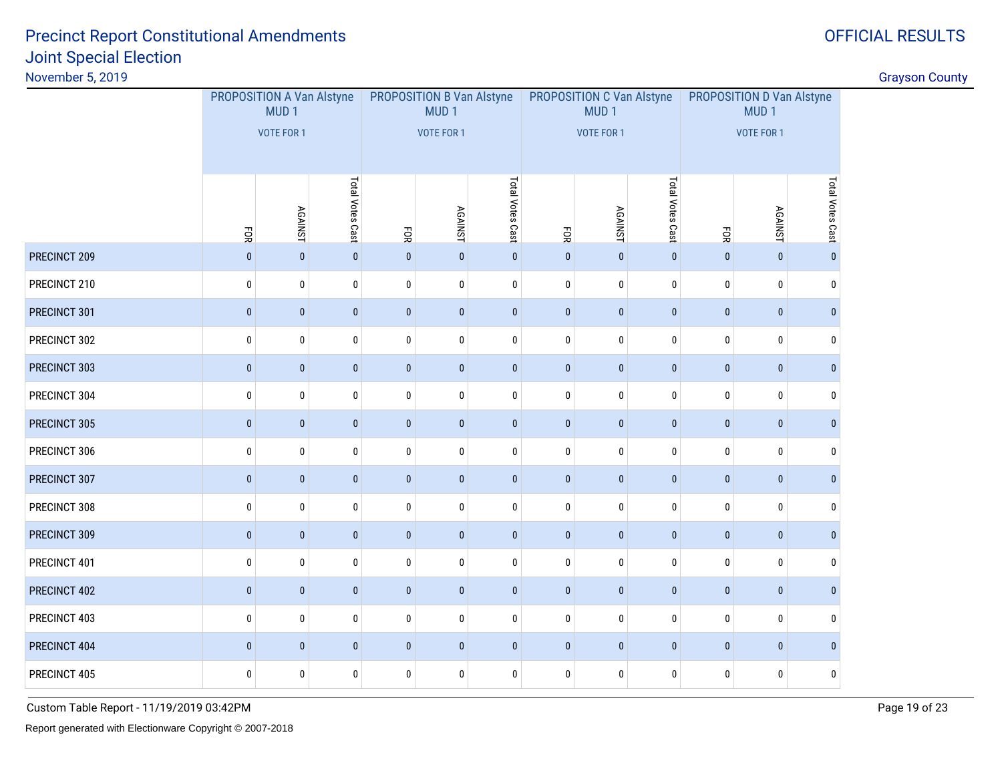# OFFICIAL RESULTS

|              | PROPOSITION A Van Alstyne<br>MUD <sub>1</sub><br>VOTE FOR 1 |              |              |              | <b>PROPOSITION B Van Alstyne</b><br>MUD <sub>1</sub><br><b>VOTE FOR 1</b> |              |                    | <b>PROPOSITION C Van Alstyne</b><br>MUD <sub>1</sub><br><b>VOTE FOR 1</b> |             | PROPOSITION D Van Alstyne<br>MUD <sub>1</sub><br><b>VOTE FOR 1</b> |                  |              |  |
|--------------|-------------------------------------------------------------|--------------|--------------|--------------|---------------------------------------------------------------------------|--------------|--------------------|---------------------------------------------------------------------------|-------------|--------------------------------------------------------------------|------------------|--------------|--|
|              | Total Votes Cast<br><b>AGAINST</b><br>ĒОК                   |              | ĒОК          |              | Total Votes Cast<br><b>AGAINST</b>                                        |              | <b>AGAINST</b>     | Total Votes Cast                                                          | FOR         | <b>AGAINST</b>                                                     | Total Votes Cast |              |  |
| PRECINCT 209 | $\pmb{0}$                                                   | $\pmb{0}$    | $\pmb{0}$    | $\mathbf{0}$ | $\pmb{0}$                                                                 | $\mathbf 0$  | ĒОR<br>$\mathbf 0$ | $\pmb{0}$                                                                 | $\pmb{0}$   | $\pmb{0}$                                                          | $\mathbf{0}$     | $\pmb{0}$    |  |
| PRECINCT 210 | $\bf{0}$                                                    | $\mathbf 0$  | $\mathbf 0$  | $\pmb{0}$    | $\bf{0}$                                                                  | $\mathbf 0$  | $\bf{0}$           | $\bf{0}$                                                                  | $\mathbf 0$ | 0                                                                  | $\mathbf 0$      | $\mathbf 0$  |  |
| PRECINCT 301 | $\pmb{0}$                                                   | $\mathbf{0}$ | $\pmb{0}$    | $\pmb{0}$    | $\pmb{0}$                                                                 | $\pmb{0}$    | $\pmb{0}$          | $\pmb{0}$                                                                 | $\pmb{0}$   | $\pmb{0}$                                                          | $\mathbf{0}$     | $\mathbf{0}$ |  |
| PRECINCT 302 | $\pmb{0}$                                                   | $\mathbf 0$  | $\mathbf 0$  | $\pmb{0}$    | $\mathbf 0$                                                               | $\mathbf 0$  | $\mathbf 0$        | $\mathbf 0$                                                               | $\pmb{0}$   | $\mathbf{0}$                                                       | $\mathbf 0$      | $\mathbf{0}$ |  |
| PRECINCT 303 | $\pmb{0}$                                                   | $\pmb{0}$    | $\pmb{0}$    | $\pmb{0}$    | $\pmb{0}$                                                                 | $\mathbf 0$  | $\pmb{0}$          | $\pmb{0}$                                                                 | $\pmb{0}$   | $\pmb{0}$                                                          | $\mathbf{0}$     | $\mathbf{0}$ |  |
| PRECINCT 304 | $\bf{0}$                                                    | $\mathbf 0$  | $\mathbf 0$  | $\pmb{0}$    | $\bf{0}$                                                                  | $\mathbf 0$  | $\mathbf 0$        | 0                                                                         | $\pmb{0}$   | 0                                                                  | $\mathbf 0$      | $\mathbf 0$  |  |
| PRECINCT 305 | $\pmb{0}$                                                   | $\bf{0}$     | $\pmb{0}$    | $\pmb{0}$    | $\pmb{0}$                                                                 | $\pmb{0}$    | $\pmb{0}$          | $\pmb{0}$                                                                 | $\pmb{0}$   | $\pmb{0}$                                                          | $\mathbf{0}$     | $\mathbf 0$  |  |
| PRECINCT 306 | $\pmb{0}$                                                   | $\mathbf{0}$ | $\mathbf 0$  | $\pmb{0}$    | $\mathbf 0$                                                               | $\mathbf 0$  | $\mathbf 0$        | $\mathbf 0$                                                               | $\pmb{0}$   | $\mathbf{0}$                                                       | $\mathbf{0}$     | $\mathbf{0}$ |  |
| PRECINCT 307 | $\pmb{0}$                                                   | $\pmb{0}$    | $\pmb{0}$    | $\pmb{0}$    | $\pmb{0}$                                                                 | $\mathbf 0$  | $\pmb{0}$          | $\pmb{0}$                                                                 | $\pmb{0}$   | $\pmb{0}$                                                          | $\mathbf{0}$     | $\mathbf{0}$ |  |
| PRECINCT 308 | $\bf{0}$                                                    | $\mathbf 0$  | $\mathbf 0$  | $\pmb{0}$    | $\pmb{0}$                                                                 | $\mathbf 0$  | $\mathbf 0$        | $\pmb{0}$                                                                 | $\pmb{0}$   | 0                                                                  | $\mathbf 0$      | $\mathbf 0$  |  |
| PRECINCT 309 | $\pmb{0}$                                                   | $\mathbf{0}$ | $\pmb{0}$    | $\pmb{0}$    | $\pmb{0}$                                                                 | $\mathbf 0$  | $\pmb{0}$          | $\mathbf 0$                                                               | $\pmb{0}$   | $\mathbf{0}$                                                       | $\mathbf{0}$     | $\mathbf{0}$ |  |
| PRECINCT 401 | $\pmb{0}$                                                   | $\mathbf{0}$ | $\mathbf{0}$ | $\mathbf 0$  | $\pmb{0}$                                                                 | $\mathbf{0}$ | $\pmb{0}$          | 0                                                                         | $\bf{0}$    | $\mathbf{0}$                                                       | $\mathbf{0}$     | $\mathbf{0}$ |  |
| PRECINCT 402 | $\pmb{0}$                                                   | $\pmb{0}$    | $\pmb{0}$    | $\pmb{0}$    | $\pmb{0}$                                                                 | $\pmb{0}$    | $\pmb{0}$          | $\pmb{0}$                                                                 | $\pmb{0}$   | $\pmb{0}$                                                          | $\mathbf{0}$     | $\mathbf{0}$ |  |
| PRECINCT 403 | $\bf{0}$                                                    | $\mathbf 0$  | $\mathbf 0$  | $\mathbf 0$  | $\bf{0}$                                                                  | $\mathbf 0$  | $\pmb{0}$          | 0                                                                         | $\mathbf 0$ | 0                                                                  | $\mathbf 0$      | $\mathbf 0$  |  |
| PRECINCT 404 | $\pmb{0}$                                                   | $\mathbf{0}$ | $\pmb{0}$    | $\pmb{0}$    | $\pmb{0}$                                                                 | $\mathbf 0$  | $\pmb{0}$          | $\mathbf 0$                                                               | $\pmb{0}$   | $\mathbf{0}$                                                       | $\pmb{0}$        | $\mathbf{0}$ |  |
| PRECINCT 405 | $\pmb{0}$                                                   | $\bf{0}$     | $\pmb{0}$    | $\pmb{0}$    | $\pmb{0}$                                                                 | 0            | $\pmb{0}$          | 0                                                                         | $\pmb{0}$   | 0                                                                  | 0                | 0            |  |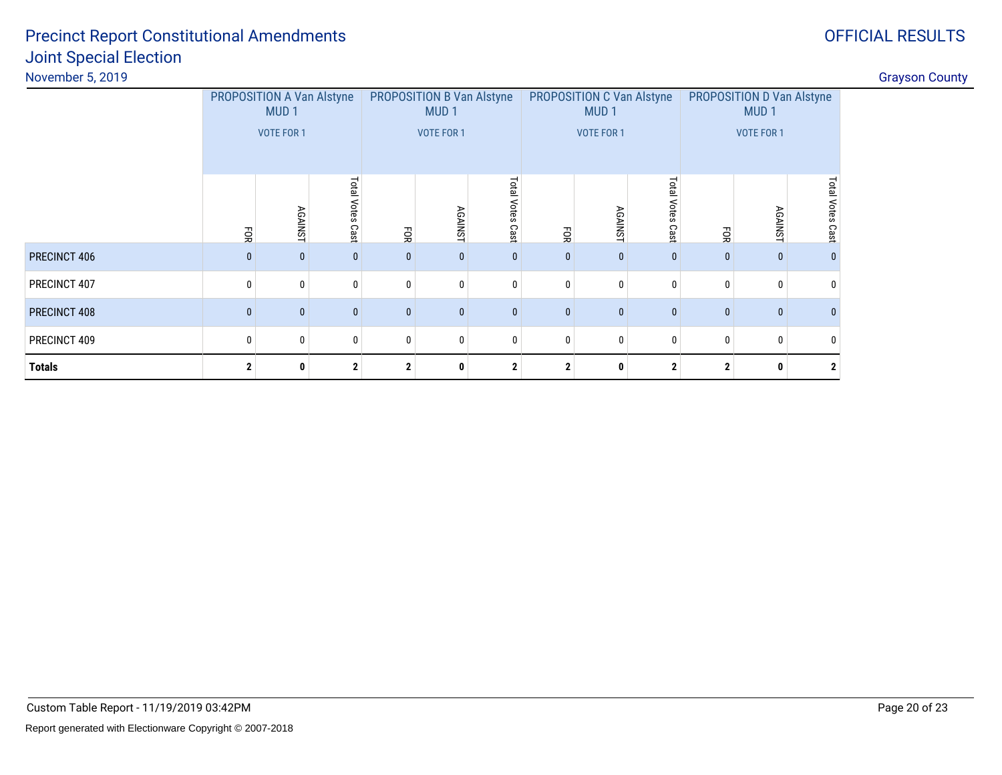|               | PROPOSITION A Van Alstyne<br>MUD <sub>1</sub><br><b>VOTE FOR 1</b> |                   |              |                                  | <b>PROPOSITION B Van Alstyne</b><br>MUD <sub>1</sub><br><b>VOTE FOR 1</b> |              |                | <b>PROPOSITION C Van Alstyne</b><br>MUD <sub>1</sub><br><b>VOTE FOR 1</b> |              | <b>PROPOSITION D Van Alstyne</b><br>MUD <sub>1</sub><br><b>VOTE FOR 1</b> |                     |              |  |
|---------------|--------------------------------------------------------------------|-------------------|--------------|----------------------------------|---------------------------------------------------------------------------|--------------|----------------|---------------------------------------------------------------------------|--------------|---------------------------------------------------------------------------|---------------------|--------------|--|
|               | Total<br>Votes<br><b>AGAINST</b><br>Cast<br>g                      |                   | EOR          | <b>AGAINST</b>                   | Total Votes Cast                                                          | ŠЯ           | <b>AGAINST</b> | Total Votes Cast                                                          | FOR          | <b>AGAINST</b>                                                            | Total Votes<br>Cast |              |  |
| PRECINCT 406  | $\mathbf{0}$                                                       | $\mathbf{0}$      | $\mathbf{0}$ | $\bf{0}$                         | 0                                                                         | $\mathbf{0}$ | $\mathbf{0}$   | $\mathbf{0}$                                                              | $\mathbf{0}$ | $\mathbf{0}$                                                              | $\mathbf{0}$        | n            |  |
| PRECINCT 407  | $\mathbf{0}$                                                       | 0                 | $\mathbf{0}$ | 0                                | $\mathbf 0$                                                               | 0            | $\mathbf{0}$   | $\mathbf 0$                                                               | $\mathbf{0}$ | 0                                                                         | $\mathbf 0$         |              |  |
| PRECINCT 408  | $\mathbf{0}$                                                       | $\mathbf{0}$      | $\mathbf{0}$ | $\mathbf{0}$                     | $\mathbf{0}$                                                              | $\mathbf{0}$ | $\mathbf{0}$   | $\mathbf{0}$                                                              | $\mathbf{0}$ | $\mathbf{0}$                                                              | $\mathbf{0}$        |              |  |
| PRECINCT 409  | 0                                                                  | 0<br>$\mathbf{0}$ |              | 0                                | $\mathbf 0$                                                               | 0            | $\mathbf{0}$   | 0                                                                         | 0            | 0                                                                         | 0                   |              |  |
| <b>Totals</b> | $\mathbf 2$<br>0                                                   |                   |              | $\mathbf 2$<br>$\mathbf{2}$<br>0 |                                                                           |              | $\mathbf{2}$   | 0                                                                         | $\mathbf 2$  | $\mathbf{2}$                                                              | 0                   | $\mathbf{2}$ |  |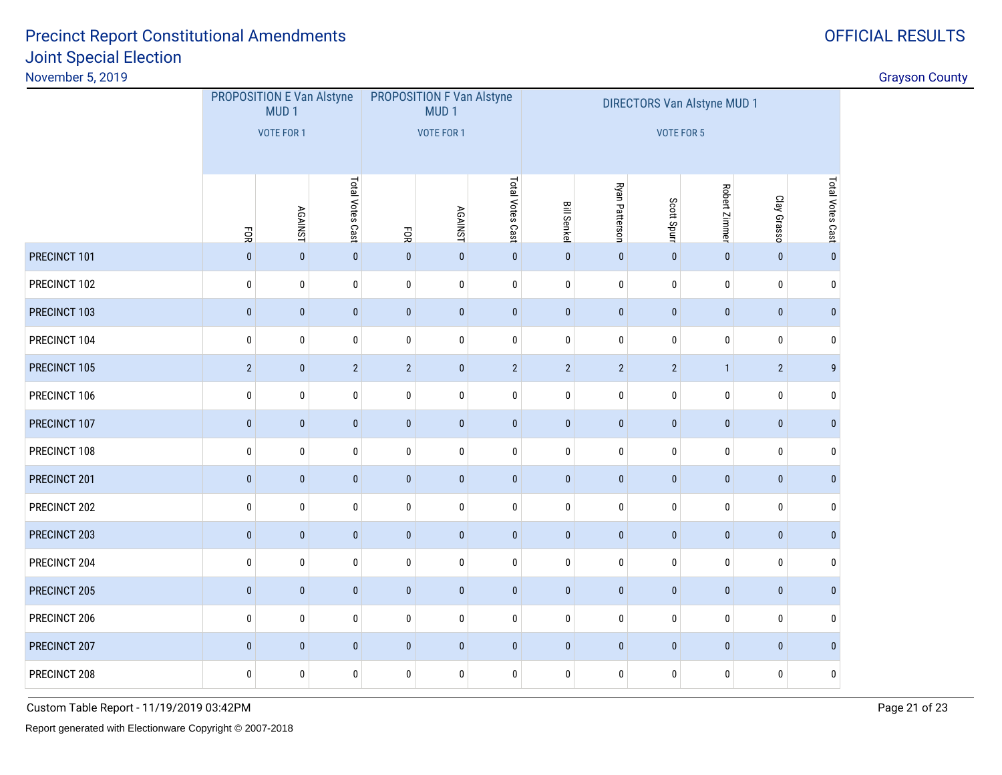# Joint Special ElectionPrecinct Report Constitutional Amendments

November 5, 2019

gradient in the control of the control of the control of the control of the control of the control of the control of the control of the control of the control of the control of the control of the control of the control of

|              | PROPOSITION E Van Alstyne<br>MUD <sub>1</sub> |                   |                  |                | PROPOSITION F Van Alstyne<br>MUD <sub>1</sub> |                  | <b>DIRECTORS Van Alstyne MUD 1</b> |                |                   |               |                |                  |  |
|--------------|-----------------------------------------------|-------------------|------------------|----------------|-----------------------------------------------|------------------|------------------------------------|----------------|-------------------|---------------|----------------|------------------|--|
|              |                                               | <b>VOTE FOR 1</b> |                  |                | <b>VOTE FOR 1</b>                             |                  |                                    |                | <b>VOTE FOR 5</b> |               |                |                  |  |
|              | EOК                                           | <b>AGAINST</b>    | Total Votes Cast | FOR            | <b>AGAINST</b>                                | Total Votes Cast | <b>Bill Senkel</b>                 | Ryan Patterson | Scott Spurr       | Robert Zimmer | Clay Grasso    | Total Votes Cast |  |
| PRECINCT 101 | $\mathbf{0}$                                  | $\pmb{0}$         | $\pmb{0}$        | $\pmb{0}$      | $\pmb{0}$                                     | $\pmb{0}$        | $\pmb{0}$                          | $\pmb{0}$      | $\pmb{0}$         | $\pmb{0}$     | $\mathbf{0}$   | $\mathbf 0$      |  |
| PRECINCT 102 | $\pmb{0}$                                     | 0                 | $\pmb{0}$        | 0              | 0                                             | $\mathbf 0$      | $\mathbf 0$                        | 0              | $\bf{0}$          | $\mathbf 0$   | $\mathbf 0$    | 0                |  |
| PRECINCT 103 | $\pmb{0}$                                     | $\pmb{0}$         | $\pmb{0}$        | $\pmb{0}$      | $\pmb{0}$                                     | $\pmb{0}$        | $\pmb{0}$                          | $\pmb{0}$      | $\pmb{0}$         | $\pmb{0}$     | $\pmb{0}$      | $\pmb{0}$        |  |
| PRECINCT 104 | 0                                             | 0                 | $\bf{0}$         | 0              | 0                                             | $\pmb{0}$        | $\mathbf 0$                        | 0              | $\pmb{0}$         | 0             | $\mathbf 0$    | 0                |  |
| PRECINCT 105 | $\overline{2}$                                | $\pmb{0}$         | $\overline{2}$   | $\overline{2}$ | $\pmb{0}$                                     | $\overline{2}$   | $\overline{2}$                     | $\overline{2}$ | $\overline{2}$    | $\mathbf{1}$  | $\overline{2}$ | $\boldsymbol{9}$ |  |
| PRECINCT 106 | $\bf{0}$                                      | 0                 | $\pmb{0}$        | 0              | 0                                             | $\pmb{0}$        | $\mathbf 0$                        | 0              | $\pmb{0}$         | $\mathbf 0$   | $\mathbf 0$    | $\mathbf{0}$     |  |
| PRECINCT 107 | $\mathbf 0$                                   | $\pmb{0}$         | $\pmb{0}$        | $\pmb{0}$      | $\pmb{0}$                                     | $\pmb{0}$        | $\pmb{0}$                          | $\pmb{0}$      | $\pmb{0}$         | $\pmb{0}$     | $\pmb{0}$      | $\pmb{0}$        |  |
| PRECINCT 108 | $\pmb{0}$                                     | 0                 | $\pmb{0}$        | 0              | 0                                             | $\pmb{0}$        | $\bf{0}$                           | 0              | $\pmb{0}$         | 0             | $\mathbf 0$    | 0                |  |
| PRECINCT 201 | $\pmb{0}$                                     | $\pmb{0}$         | $\pmb{0}$        | $\pmb{0}$      | $\pmb{0}$                                     | $\pmb{0}$        | $\mathbf{0}$                       | $\pmb{0}$      | $\pmb{0}$         | $\pmb{0}$     | $\pmb{0}$      | $\pmb{0}$        |  |
| PRECINCT 202 | $\pmb{0}$                                     | 0                 | $\pmb{0}$        | 0              | 0                                             | $\pmb{0}$        | 0                                  | $\pmb{0}$      | $\pmb{0}$         | 0             | 0              | 0                |  |
| PRECINCT 203 | $\pmb{0}$                                     | $\pmb{0}$         | $\pmb{0}$        | $\pmb{0}$      | $\pmb{0}$                                     | $\pmb{0}$        | $\pmb{0}$                          | $\pmb{0}$      | $\pmb{0}$         | $\pmb{0}$     | $\mathbf{0}$   | $\pmb{0}$        |  |
| PRECINCT 204 | $\pmb{0}$                                     | 0                 | $\pmb{0}$        | 0              | 0                                             | $\pmb{0}$        | $\bf{0}$                           | $\pmb{0}$      | $\pmb{0}$         | $\bf{0}$      | $\mathbf 0$    | 0                |  |
| PRECINCT 205 | $\pmb{0}$                                     | $\pmb{0}$         | $\pmb{0}$        | $\pmb{0}$      | $\pmb{0}$                                     | $\pmb{0}$        | $\mathbf{0}$                       | $\pmb{0}$      | $\pmb{0}$         | $\pmb{0}$     | $\pmb{0}$      | $\mathbf{0}$     |  |
| PRECINCT 206 | $\pmb{0}$                                     | 0                 | $\pmb{0}$        | 0              | 0                                             | $\pmb{0}$        | $\bf{0}$                           | $\pmb{0}$      | $\pmb{0}$         | $\bf{0}$      | $\pmb{0}$      | $\bf{0}$         |  |
| PRECINCT 207 | $\pmb{0}$                                     | $\pmb{0}$         | $\pmb{0}$        | $\pmb{0}$      | $\pmb{0}$                                     | $\pmb{0}$        | $\mathbf{0}$                       | $\pmb{0}$      | $\pmb{0}$         | $\pmb{0}$     | $\pmb{0}$      | $\mathbf{0}$     |  |
| PRECINCT 208 | $\pmb{0}$                                     | $\pmb{0}$         | $\pmb{0}$        | 0              | 0                                             | $\pmb{0}$        | 0                                  | $\pmb{0}$      | $\pmb{0}$         | 0             | 0              | $\pmb{0}$        |  |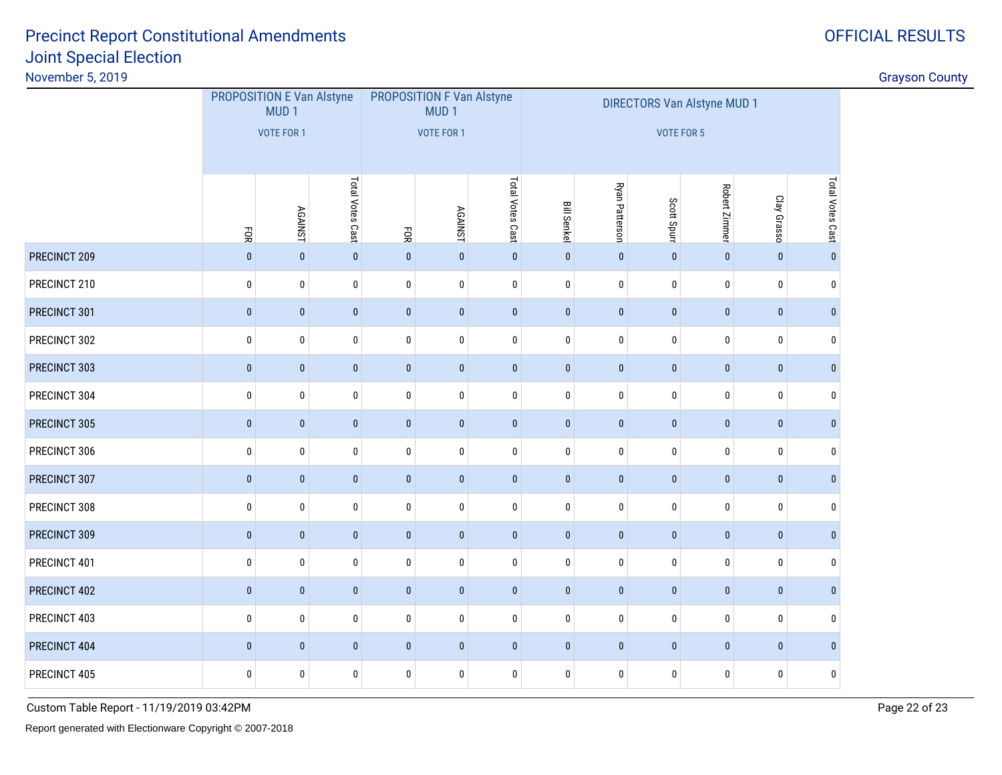November 5, 2019

|              | PROPOSITION E Van Alstyne<br>MUD <sub>1</sub><br><b>VOTE FOR 1</b> |                |                  |                   | <b>PROPOSITION F Van Alstyne</b><br>MUD <sub>1</sub> |                  | <b>DIRECTORS Van Alstyne MUD 1</b> |                |             |               |              |                  |
|--------------|--------------------------------------------------------------------|----------------|------------------|-------------------|------------------------------------------------------|------------------|------------------------------------|----------------|-------------|---------------|--------------|------------------|
|              |                                                                    |                |                  | <b>VOTE FOR 1</b> |                                                      |                  | VOTE FOR 5                         |                |             |               |              |                  |
|              |                                                                    |                |                  |                   |                                                      |                  |                                    |                |             |               |              |                  |
|              | EOR                                                                | <b>AGAINST</b> | Total Votes Cast | FOR               | <b>AGAINST</b>                                       | Total Votes Cast | <b>Bill Senkel</b>                 | Ryan Patterson | Scott Spurr | Robert Zimmer | Clay Grasso  | Total Votes Cast |
| PRECINCT 209 | $\bf{0}$                                                           | $\pmb{0}$      | $\pmb{0}$        | $\pmb{0}$         | $\pmb{0}$                                            | $\pmb{0}$        | $\pmb{0}$                          | $\pmb{0}$      | $\pmb{0}$   | $\mathbf 0$   | $\pmb{0}$    | $\pmb{0}$        |
| PRECINCT 210 | $\pmb{0}$                                                          | 0              | $\pmb{0}$        | $\pmb{0}$         | $\pmb{0}$                                            | $\pmb{0}$        | $\pmb{0}$                          | $\bf{0}$       | $\pmb{0}$   | $\mathbf 0$   | $\bf{0}$     | $\pmb{0}$        |
| PRECINCT 301 | $\pmb{0}$                                                          | $\pmb{0}$      | $\pmb{0}$        | $\mathbf{0}$      | $\mathbf{0}$                                         | $\pmb{0}$        | $\pmb{0}$                          | $\pmb{0}$      | $\pmb{0}$   | $\mathbf{0}$  | $\pmb{0}$    | $\pmb{0}$        |
| PRECINCT 302 | $\pmb{0}$                                                          | $\pmb{0}$      | $\pmb{0}$        | $\mathbf 0$       | $\mathbf 0$                                          | $\pmb{0}$        | $\mathbf 0$                        | $\pmb{0}$      | $\mathbf 0$ | $\mathbf 0$   | $\mathbf 0$  | $\mathbf 0$      |
| PRECINCT 303 | $\pmb{0}$                                                          | $\pmb{0}$      | $\pmb{0}$        | $\pmb{0}$         | $\pmb{0}$                                            | $\pmb{0}$        | $\pmb{0}$                          | $\pmb{0}$      | $\pmb{0}$   | $\pmb{0}$     | $\pmb{0}$    | $\pmb{0}$        |
| PRECINCT 304 | $\pmb{0}$                                                          | $\pmb{0}$      | $\pmb{0}$        | $\mathbf 0$       | $\mathbf 0$                                          | $\pmb{0}$        | $\pmb{0}$                          | $\pmb{0}$      | $\mathbf 0$ | $\mathbf 0$   | $\mathbf 0$  | $\mathbf 0$      |
| PRECINCT 305 | $\pmb{0}$                                                          | $\pmb{0}$      | $\pmb{0}$        | $\pmb{0}$         | $\pmb{0}$                                            | $\pmb{0}$        | $\pmb{0}$                          | $\pmb{0}$      | $\pmb{0}$   | $\pmb{0}$     | $\pmb{0}$    | $\pmb{0}$        |
| PRECINCT 306 | $\bf{0}$                                                           | 0              | $\bf{0}$         | 0                 | $\mathbf 0$                                          | $\pmb{0}$        | 0                                  | $\bf{0}$       | $\pmb{0}$   | $\mathbf 0$   | $\mathbf 0$  | $\mathbf 0$      |
| PRECINCT 307 | $\pmb{0}$                                                          | $\pmb{0}$      | $\pmb{0}$        | $\pmb{0}$         | $\pmb{0}$                                            | $\pmb{0}$        | $\pmb{0}$                          | $\pmb{0}$      | $\pmb{0}$   | $\mathbf 0$   | $\mathbf{0}$ | $\pmb{0}$        |
| PRECINCT 308 | $\bf{0}$                                                           | 0              | $\pmb{0}$        | 0                 | $\mathbf 0$                                          | $\pmb{0}$        | 0                                  | 0              | $\pmb{0}$   | $\mathbf 0$   | $\bf{0}$     | $\pmb{0}$        |
| PRECINCT 309 | $\pmb{0}$                                                          | $\pmb{0}$      | $\pmb{0}$        | $\pmb{0}$         | $\pmb{0}$                                            | $\pmb{0}$        | $\pmb{0}$                          | $\pmb{0}$      | $\pmb{0}$   | $\pmb{0}$     | $\mathbf 0$  | $\pmb{0}$        |
| PRECINCT 401 | $\bf{0}$                                                           | 0              | $\pmb{0}$        | 0                 | $\mathbf 0$                                          | $\pmb{0}$        | 0                                  | $\bf{0}$       | $\pmb{0}$   | $\bf{0}$      | $\mathbf 0$  | 0                |
| PRECINCT 402 | $\pmb{0}$                                                          | $\pmb{0}$      | $\pmb{0}$        | $\pmb{0}$         | $\pmb{0}$                                            | $\pmb{0}$        | $\mathbf 0$                        | $\pmb{0}$      | $\pmb{0}$   | $\mathbf{0}$  | $\pmb{0}$    | $\pmb{0}$        |
| PRECINCT 403 | $\bf{0}$                                                           | $\pmb{0}$      | $\pmb{0}$        | 0                 | 0                                                    | $\pmb{0}$        | 0                                  | $\bf{0}$       | $\pmb{0}$   | $\bf{0}$      | 0            | $\pmb{0}$        |
| PRECINCT 404 | $\pmb{0}$                                                          | $\pmb{0}$      | $\pmb{0}$        | $\pmb{0}$         | $\pmb{0}$                                            | $\pmb{0}$        | $\pmb{0}$                          | $\pmb{0}$      | $\pmb{0}$   | $\pmb{0}$     | $\pmb{0}$    | $\pmb{0}$        |
| PRECINCT 405 | 0                                                                  | 0              | $\pmb{0}$        | 0                 | 0                                                    | $\pmb{0}$        | $\pmb{0}$                          | 0              | $\bf{0}$    | $\bf{0}$      | 0            | $\pmb{0}$        |